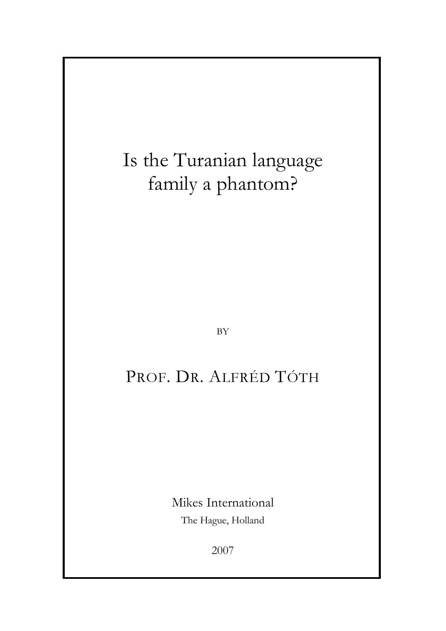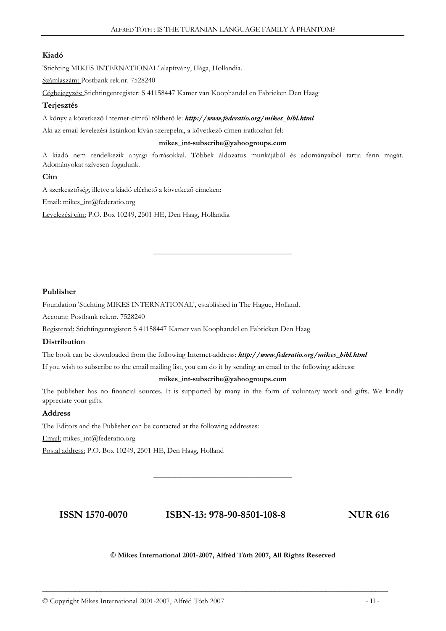# Kiadó

'Stichting MIKES INTERNATIONAL' alapítvány, Hága, Hollandia.

Számlaszám: Postbank rek.nr. 7528240

Cégbejegyzés: Stichtingenregister: S 41158447 Kamer van Koophandel en Fabrieken Den Haag

# Terjesztés

A könyv a következő Internet-címről tölthető le: http://www.federatio.org/mikes\_bibl.html

Aki az email-levelezési listánkon kíván szerepelni, a következő címen iratkozhat fel:

#### mikes\_int-subscribe@yahoogroups.com

A kiadó nem rendelkezik anyagi forrásokkal. Többek áldozatos munkájából és adományaiból tartja fenn magát. Adományokat szívesen fogadunk.

\_\_\_\_\_\_\_\_\_\_\_\_\_\_\_\_\_\_\_\_\_\_\_\_\_\_\_\_\_\_\_\_\_\_\_\_\_

# Cím

A szerkesztőség, illetve a kiadó elérhető a következő címeken: Email: mikes\_int@federatio.org Levelezési cím: P.O. Box 10249, 2501 HE, Den Haag, Hollandia

## Publisher

Foundation 'Stichting MIKES INTERNATIONAL', established in The Hague, Holland.

Account: Postbank rek.nr. 7528240

Registered: Stichtingenregister: S 41158447 Kamer van Koophandel en Fabrieken Den Haag

## **Distribution**

The book can be downloaded from the following Internet-address: http://www.federatio.org/mikes\_bibl.html

If you wish to subscribe to the email mailing list, you can do it by sending an email to the following address:

#### mikes\_int-subscribe@yahoogroups.com

The publisher has no financial sources. It is supported by many in the form of voluntary work and gifts. We kindly appreciate your gifts.

## Address

The Editors and the Publisher can be contacted at the following addresses:

Email: mikes\_int@federatio.org

Postal address: P.O. Box 10249, 2501 HE, Den Haag, Holland

# ISSN 1570-0070 ISBN-13: 978-90-8501-108-8 NUR 616

\_\_\_\_\_\_\_\_\_\_\_\_\_\_\_\_\_\_\_\_\_\_\_\_\_\_\_\_\_\_\_\_\_\_\_\_\_

## © Mikes International 2001-2007, Alfréd Tóth 2007, All Rights Reserved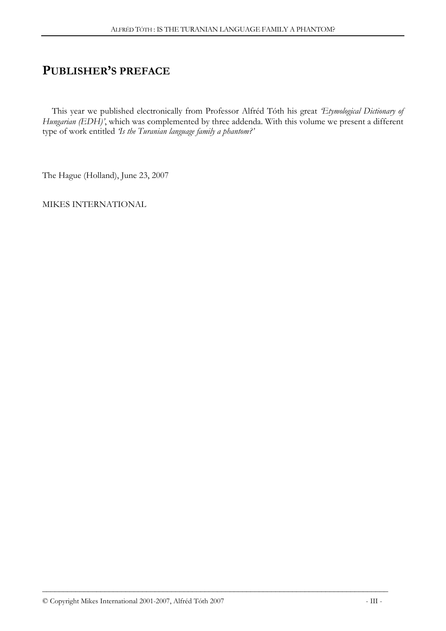# PUBLISHER'S PREFACE

This year we published electronically from Professor Alfréd Tóth his great 'Etymological Dictionary of Hungarian (EDH)', which was complemented by three addenda. With this volume we present a different type of work entitled 'Is the Turanian language family a phantom?'

The Hague (Holland), June 23, 2007

MIKES INTERNATIONAL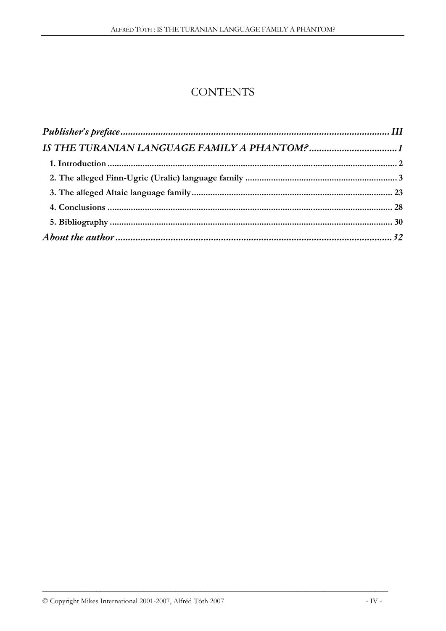# **CONTENTS**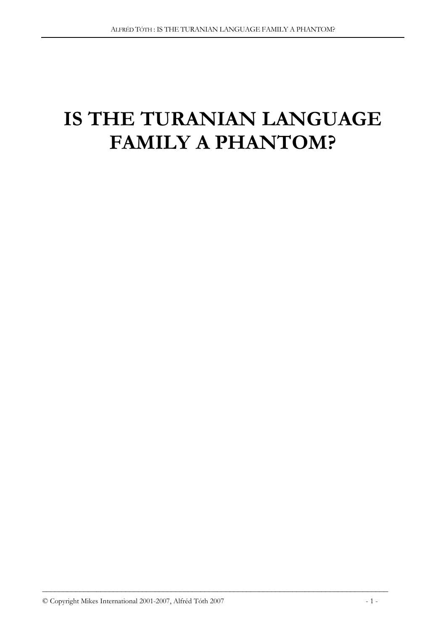# IS THE TURANIAN LANGUAGE FAMILY A PHANTOM?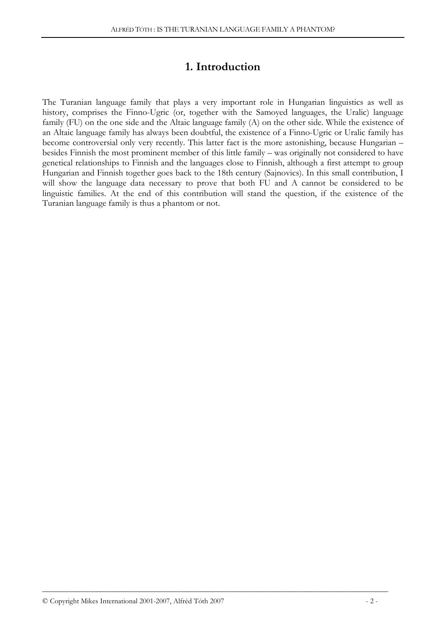# 1. Introduction

The Turanian language family that plays a very important role in Hungarian linguistics as well as history, comprises the Finno-Ugric (or, together with the Samoyed languages, the Uralic) language family (FU) on the one side and the Altaic language family (A) on the other side. While the existence of an Altaic language family has always been doubtful, the existence of a Finno-Ugric or Uralic family has become controversial only very recently. This latter fact is the more astonishing, because Hungarian – besides Finnish the most prominent member of this little family – was originally not considered to have genetical relationships to Finnish and the languages close to Finnish, although a first attempt to group Hungarian and Finnish together goes back to the 18th century (Sajnovics). In this small contribution, I will show the language data necessary to prove that both FU and A cannot be considered to be linguistic families. At the end of this contribution will stand the question, if the existence of the Turanian language family is thus a phantom or not.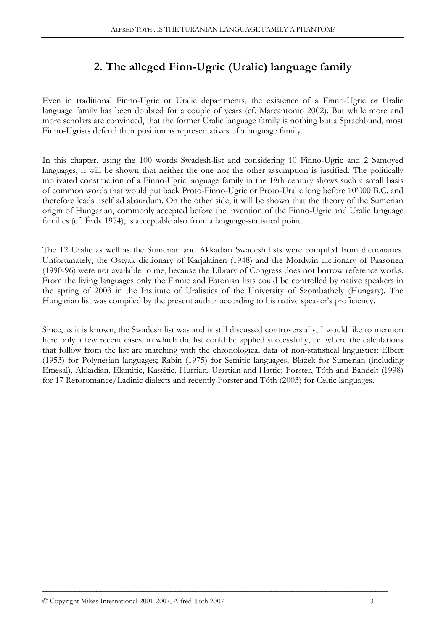# 2. The alleged Finn-Ugric (Uralic) language family

Even in traditional Finno-Ugric or Uralic departments, the existence of a Finno-Ugric or Uralic language family has been doubted for a couple of years (cf. Marcantonio 2002). But while more and more scholars are convinced, that the former Uralic language family is nothing but a Sprachbund, most Finno-Ugrists defend their position as representatives of a language family.

In this chapter, using the 100 words Swadesh-list and considering 10 Finno-Ugric and 2 Samoyed languages, it will be shown that neither the one nor the other assumption is justified. The politically motivated construction of a Finno-Ugric language family in the 18th century shows such a small basis of common words that would put back Proto-Finno-Ugric or Proto-Uralic long before 10'000 B.C. and therefore leads itself ad absurdum. On the other side, it will be shown that the theory of the Sumerian origin of Hungarian, commonly accepted before the invention of the Finno-Ugric and Uralic language families (cf. Érdy 1974), is acceptable also from a language-statistical point.

The 12 Uralic as well as the Sumerian and Akkadian Swadesh lists were compiled from dictionaries. Unfortunately, the Ostyak dictionary of Karjalainen (1948) and the Mordwin dictionary of Paasonen (1990-96) were not available to me, because the Library of Congress does not borrow reference works. From the living languages only the Finnic and Estonian lists could be controlled by native speakers in the spring of 2003 in the Institute of Uralistics of the University of Szombathely (Hungary). The Hungarian list was compiled by the present author according to his native speaker's proficiency.

Since, as it is known, the Swadesh list was and is still discussed controversially, I would like to mention here only a few recent cases, in which the list could be applied successfully, i.e. where the calculations that follow from the list are matching with the chronological data of non-statistical linguistics: Elbert (1953) for Polynesian languages; Rabin (1975) for Semitic languages, Blažek for Sumerian (including Emesal), Akkadian, Elamitic, Kassitic, Hurrian, Urartian and Hattic; Forster, Tóth and Bandelt (1998) for 17 Retoromance/Ladinic dialects and recently Forster and Tóth (2003) for Celtic languages.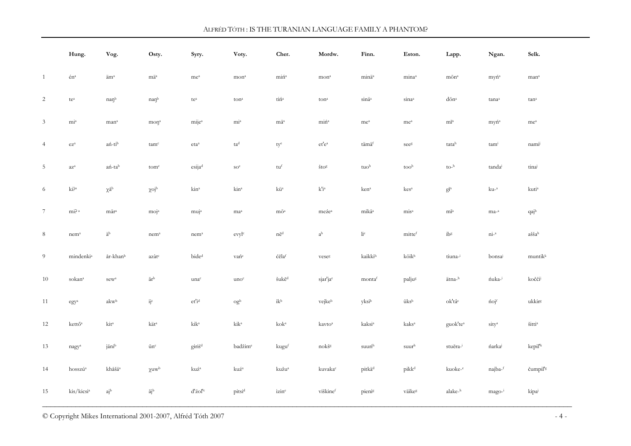|                 | Hung.                                   | Vog.                          | Osty.                          | Syry.                                              | Voty.                   | Cher.                                                   | Mordw.                    | Finn.                | Eston.                   | Lapp.                                  | Ngan.             | Selk.                             |
|-----------------|-----------------------------------------|-------------------------------|--------------------------------|----------------------------------------------------|-------------------------|---------------------------------------------------------|---------------------------|----------------------|--------------------------|----------------------------------------|-------------------|-----------------------------------|
| $\mathbf{1}$    | $\acute{\text{e}}\text{n}^{\text{a}}$   | $\ddot{a}m^a$                 | $\rm m\ddot{a}^a$              | $\rm me^a$                                         | mon <sup>a</sup>        | $\rm{min}^{\rm a}$                                      | $\rm{mon}^a$              | minä <sup>a</sup>    | mina <sup>a</sup>        | $m\bar{o}n^a$                          | myń <sup>a</sup>  | mana                              |
| 2               | $\mathfrak{t}\mathbf{e}^{\mathfrak{a}}$ | naŋb                          | naŋb                           | $\mathfrak{t}\mathrm{e}^{\scriptscriptstyle{a}}$   | ton <sup>a</sup>        | $\mathrm{t} \mathrm{i} \acute{\mathrm{n}}^{\mathrm{a}}$ | $\rm ton^a$               | sinä <sup>a</sup>    | sina <sup>a</sup>        | dōnª                                   | tanaa             | tana                              |
| $\mathfrak{Z}$  | $mi^a$                                  | man <sup>a</sup>              | $\text{map}^a$                 | $mije^a$                                           | $mi^a$                  | mä <sup>a</sup>                                         | min <sup>a</sup>          | me <sup>a</sup>      | me <sup>a</sup>          | $m\bar{\text{i}}^{\text{a}}$           | myń <sup>a</sup>  | me <sup>a</sup>                   |
| $\overline{4}$  | $\mbox{e} \mbox{z}^{\mbox{a}}$          | ań-tib                        | tam <sup>c</sup>               | $\rm eta^a$                                        | ta <sup>d</sup>         | $\tt{ty}^e$                                             | $\rm et' e^a$             | tämäf                | seeg                     | tatah                                  | tami              | nami                              |
| $\overline{5}$  | $\rm a z^a$                             | ań-tab                        | tom <sup>c</sup>               | esijad                                             | SO <sup>e</sup>         | tu <sup>f</sup>                                         | $\check{t}$               | tuo <sup>h</sup>     | tooh                     | $\text{to-}^{\text{h}}$                | tandai            | tina                              |
| 6               | $\rm{ki}$ $\rm{Pa}$                     | $\chi\mathring{a}^{\rm b}$    | $\chi$ oj <sup>b</sup>         | kin <sup>a</sup>                                   | kin <sup>a</sup>        | $k\ddot{u}^a$                                           | $\mathbf{k'i^a}$          | ken <sup>a</sup>     | kes <sup>a</sup>         | $g \overline{\textbf{i}}^{\textup{a}}$ | $ku-a$            | kuti <sup>a</sup>                 |
| $7\phantom{.0}$ | mi? $^{\rm a}$                          | mär <sup>a</sup>              | moj <sup>a</sup>               | muj <sup>a</sup>                                   | ma <sup>a</sup>         | $m\bar{o}^a$                                            | meźe <sup>a</sup>         | mikä <sup>a</sup>    | mis <sup>a</sup>         | $m\bar{\rm r}^{\rm a}$                 | $ma-a$            | qajb                              |
| $8\phantom{.0}$ | nem <sup>a</sup>                        | $\ddot{\rm a}^{\rm b}$        | nem <sup>a</sup>               | $n$ em $a$                                         | evyl <sup>c</sup>       | $n\check{e}^d$                                          | $\mathrm{a}^{\mathrm{b}}$ | $\rm \mathring{h}^e$ | mittef                   | ib <sup>g</sup>                        | $ni^{-a}$         | $a\check{s}\check{s}a^h$          |
| 9               | mindenkia                               | år-khanb                      | $\rm az\grave{a}t^c$           | bide <sup>d</sup>                                  | vańe                    | ćĕlaf                                                   | veseg                     | kaikkih              | köikh                    | tiuna-i                                | bonsa             | muntikk                           |
| 10              | sokan <sup>a</sup>                      | $\mbox{sew}^{\mbox{\tiny a}}$ | $\bar{a}t^{\rm b}$             | unac                                               | $\text{uno}^{\text{c}}$ | $\check{\textrm{s}}\textbf{u}\textbf{k}$ ěď             | sjar'ja <sup>e</sup>      | montaf               | paljug                   | ätna-h                                 | ńuka-i            | kočči                             |
| 11              | $\mbox{egy}^{\mbox{\tiny a}}$           | akw <sup>b</sup>              | $\ddot{\rm j}^{\rm c}$         | $\mathrm{et}'\mathrm{i}^\mathrm{d}$                | og <sup>b</sup>         | $\mathrm{i} \mathbf{k}^{\mathrm{b}}$                    | vejkeb                    | yksib                | üksb                     | ok'tâ°                                 | ńojf              | ukkir <sup>g</sup>                |
| 12              | kettő <sup>a</sup>                      | kit <sup>a</sup>              | kät <sup>a</sup>               | kik <sup>a</sup>                                   | kik <sup>a</sup>        | $k$ oka                                                 | kavto <sup>a</sup>        | kaksi <sup>a</sup>   | kaks <sup>a</sup>        | guok'te <sup>a</sup>                   | sity <sup>a</sup> | $\check{\text{stitr}}^{\text{a}}$ |
| 13              | nagya                                   | jänib                         | ūn <sup>c</sup>                | giriś <sup>d</sup>                                 | badžim <sup>e</sup>     | kuguf                                                   | nokšg                     | suurih               | $\text{suur}^{\text{h}}$ | stuĕra-i                               | ńarkaj            | kepil' <sup>k</sup>               |
| 14              | hosszú <sup>a</sup>                     | khåšä <sup>a</sup>            | $\chi u w^b$                   | $\rm ku\acute{z}^a$                                | kuź <sup>a</sup>        | kužu <sup>a</sup>                                       | kuvakac                   | pitkä <sup>d</sup>   | pikk <sup>d</sup>        | kuoke- <sup>e</sup>                    | najba-f           | čumpil's                          |
| 15              | $\rm kis/kicsi^a$                       | $a^{\text{ib}}$               | $\bar{a} \mathfrak{j}^{\rm b}$ | ${\rm d}^{\rm r} \acute{{\rm z}} {\rm ol}^{\rm t}$ | pitsid                  | izine                                                   | viškinef                  | pienis               | väikes                   | alake-h                                | mago-i            | kipaj                             |

© Copyright Mikes International 2001-2007, Alfréd Tóth 2007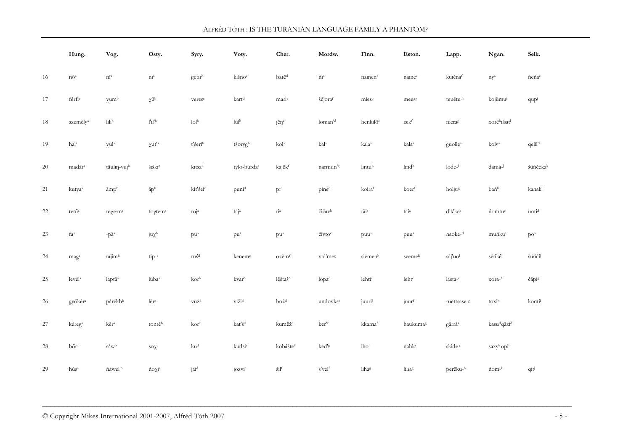|        | Hung.                                                 | Vog.                                      | Osty.                          | Syry.                                         | Voty.                          | Cher.                               | Mordw.                    | Finn.                                              | Eston.            | Lapp.               | Ngan.                              | Selk.               |
|--------|-------------------------------------------------------|-------------------------------------------|--------------------------------|-----------------------------------------------|--------------------------------|-------------------------------------|---------------------------|----------------------------------------------------|-------------------|---------------------|------------------------------------|---------------------|
| 16     | $n\tilde{\mathrm{o}}^{\mathrm{a}}$                    | $\mathbf{n}\mathbf{\bar{i}}^{\mathrm{a}}$ | $\dot{\rm m}^{\rm a}$          | getirb                                        | kišnoc                         | batě <sup>d</sup>                   | $\rm \acute{m}^{a}$       | nainene                                            | nainee            | kuiěnaf             | $\rm ny^a$                         | ńeńa                |
| 17     | $\rm f\acute{e}r\acute{f}i^a$                         | $\gamma$ um <sup>b</sup>                  | $\chi \bar{u}^b$               | veres <sup>c</sup>                            | kart <sup>d</sup>              | marie                               | ščjoraf                   | miess                                              | meess             | teuĕtu-h            | kojümui                            | qupi                |
| 18     | személy <sup>a</sup>                                  | $\rm{H}i^b$                               | $\rm l'l^{\prime b}$           | $\rm{Iol}^b$                                  | $\text{lu}^{\text{lb}}$        | jĕŋ <sup>c</sup>                    | loman'd                   | henkilö <sup>e</sup>                               | isikf             | nieras              | xorêhilsati                        |                     |
| 19     | hal <sup>a</sup>                                      | $\chi u l^a$                              | $\chi ut'^a$                   | t'serib                                       | tśorygb                        | kol <sup>a</sup>                    | kal <sup>a</sup>          | kala <sup>a</sup>                                  | kala <sup>a</sup> | guolle <sup>a</sup> | kolya                              | qelil' <sup>a</sup> |
| 20     | madára                                                | tåulin-vujb                               | śiśki <sup>c</sup>             | kitsa <sup>d</sup>                            | tylo-burda <sup>e</sup>        | kajĕkf                              | narmun's                  | lintuh                                             | lindh             | $Iode^{-1}$         | dama-                              | šüńčekak            |
| 21     | kutya <sup>a</sup>                                    | āmpb                                      | $\bar{a}p^b$                   | kit'śei <sup>c</sup>                          | puni <sup>d</sup>              | $\rm{pi}^{\rm{e}}$                  | pine <sup>d</sup>         | koiraf                                             | koerf             | holju <sup>g</sup>  | bańh                               | kanaki              |
| 22     | tetű <sup>a</sup>                                     | teχe·m <sup>a</sup>                       | $to \gamma$ tem <sup>a</sup>   | toj <sup>a</sup>                              | täj <sup>a</sup>               | $\mathrm{t}\mathrm{i}^{\mathrm{a}}$ | $\check{c}i\check{c}av^b$ | $\mathrm{t}\ddot{\mathrm{a}}\mathrm{t}^\mathrm{a}$ | täi <sup>a</sup>  | dik'ke <sup>a</sup> | nomtu <sup>c</sup>                 | unti <sup>d</sup>   |
| 23     | faª                                                   | -pä <sup>a</sup>                          | $j u \chi^b$                   | $pu^{a}$                                      | pu <sup>a</sup>                | pu <sup>a</sup>                     | čivto <sup>c</sup>        | puu <sup>a</sup>                                   | puu <sup>a</sup>  | naoke- <sup>d</sup> | muńku <sup>e</sup>                 | po <sup>a</sup>     |
| 24     | maga                                                  | tajimb                                    | $tip-c$                        | $\rm{tu}\acute{s}^d$                          | keneme                         | ozěmf                               | vid'meg                   | siemenh                                            | seemeh            | sāj'uoi             | sêńkê                              | šüńči               |
| 25     | $\mbox{lev\'el}^{\mbox{\tiny a}}$                     | laptā <sup>a</sup>                        | lüba <sup>a</sup>              | $kor^b$                                       | $\rm kvar^b$                   | lěštaš <sup>c</sup>                 | lopad                     | lehtie                                             | lehte             | $lasta-e$           | xora-f                             | čāpis               |
| 26     | gyökér <sup>a</sup>                                   | pårĕkhb                                   | $\rm l\grave{e}r^c$            | $\text{v} \text{u} \check{\text{z}}^\text{d}$ | $v_1 \check{z}_1$ <sup>d</sup> | $\rm bo\check{z}^d$                 | undovks <sup>e</sup>      | juurif                                             | juurf             | ruĕttsase-8         | toxih                              | konti               |
| $27\,$ | kéreg <sup>a</sup>                                    | $k\bar{e}r^a$                             | tontě                          | $kor^c$                                       | $\rm kat' \pm^d$               | kuměž <sup>e</sup>                  | $\rm ker^{\iota_c}$       | kkarnaf                                            | haukumas          | gârrâ <sup>a</sup>  | kasudqāzid                         |                     |
| 28     | $\mathrm{b}\tilde{\mathrm{o}}\mathrm{r}^{\mathrm{a}}$ | $\ensuremath{\mathrm{\mathbf{s}}}$ awb    | $\mathrm{so}\chi^{\mathrm{c}}$ | ku <sup>d</sup>                               | kudsi <sup>e</sup>             | kobáštef                            | ked' <sup>g</sup>         | iho <sup>h</sup>                                   | nahki             | skide i             | saxy <sup>k</sup> opi <sup>1</sup> |                     |
| 29     | hús <sup>a</sup>                                      | $\rm \acute{na}wel^{th}$                  | ήοχ <sup>ίς</sup>              | jai <sup>d</sup>                              | jozvi <sup>e</sup>             | $\tilde{\text{sil}}^{\text{f}}$     | s'velf                    | $\rm{liha^g}$                                      | lihas             | perĕku-h            | n <sub>1</sub>                     | qiti                |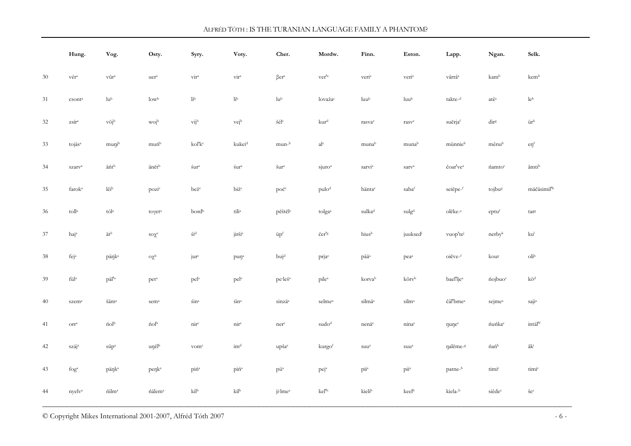|        | Hung.                         | Vog.                  | Osty.                          | Syry.                       | Voty.               | Cher.                                                       | Mordw.                             | Finn.                                         | Eston.                                | Lapp.                                                                               | Ngan.                                 | Selk.                                                   |
|--------|-------------------------------|-----------------------|--------------------------------|-----------------------------|---------------------|-------------------------------------------------------------|------------------------------------|-----------------------------------------------|---------------------------------------|-------------------------------------------------------------------------------------|---------------------------------------|---------------------------------------------------------|
| 30     | vér <sup>a</sup>              | $\rm v\bar u r^a$     | $\rm ucr^a$                    | $\rm{vir}^a$                | $\rm{vir}^a$        | $\beta er^a$                                                | $\mathrm{ver}'^{\mathrm{a}}$       | $\rm veri^a$                                  | $\rm veri^a$                          | $\mathrm{v}\hat{\mathrm{a}}\mathrm{r}\hat{\mathrm{r}}\hat{\mathrm{a}}^{\mathrm{a}}$ | kamb                                  | $\mbox{kem}^{\mbox{\tiny{b}}}$                          |
| 31     | $\mathsf{csont}^{\mathrm{a}}$ | $\rm l u^b$           | $\rm low^b$                    | $\rm{I\!i}^b$               | $\rm{I\!i}^b$       | $\rm l u^b$                                                 | lovažac                            | $\rm{luu^b}$                                  | $\rm luu^b$                           | $\text{takte-}^{\text{d}}$                                                          | atêe                                  | $\rm le^b$                                              |
| 32     | $z\!\sin^{\!a}$               | $v\bar{o}j^b$         | wojb                           | $vij^b$                     | vejb                | $\check{\mathbf{s}}\acute{\mathbf{e}}\mathbf{l}^{\text{c}}$ | kur <sup>d</sup>                   | rasvae                                        | rasve                                 | suĕrjaf                                                                             | dir <sup>g</sup>                      | $\ddot{\rm u} {\rm r}^{\rm h}$                          |
| 33     | tojás <sup>a</sup>            | munib                 | muńb                           | kol'k <sup>c</sup>          | kukei <sup>d</sup>  | mun-b                                                       | al <sup>e</sup>                    | munab                                         | munab                                 | münnieb                                                                             | mênub                                 | $\text{e} \eta^{\text{f}}$                              |
| 34     | szarv <sup>a</sup>            | $\bar{a}\acute{n}t^b$ | änětb                          | śura                        | śura                | $\check{\mathrm{s}}\mathrm{ur}^{\mathrm{a}}$                | $s$ juro <sup><math>a</math></sup> | $s$ arvi $^a$                                 | sarv <sup>a</sup>                     | čoar've <sup>a</sup>                                                                | <i>n</i> amto <sup>c</sup>            | āmtib                                                   |
| 35     | farok <sup>a</sup>            | $l\bar{e}i^b$         | pozi <sup>c</sup>              | bež <sup>c</sup>            | biz <sup>c</sup>    | poć <sup>c</sup>                                            | pulo <sup>d</sup>                  | häntae                                        | sabaf                                 | seiĕpe-f                                                                            | tojbus                                | mäčäsimil <sup>th</sup>                                 |
| 36     | $\mathrm{toll}^{\mathrm{a}}$  | tólª                  | toγet <sup>a</sup>             | bordb                       | $\rm{tili}^a$       | pěštěl <sup>c</sup>                                         | tolga <sup>a</sup>                 | sulka <sup>d</sup>                            | $\textit{sulg}^\textit{d}$            | olĕke-e                                                                             | eptu <sup>f</sup>                     | targ                                                    |
| 37     | haja                          | $\bar{a}t^{\rm b}$    | $\mathrm{so}\chi^{\mathrm{c}}$ | $\pm i^d$                   | jiršie              | $\ddot{u}p^f$                                               | čer's                              | hiush                                         | juuksedi                              | vuop'te                                                                             | $n$ erby $k$                          | $\mathrm{ku}^{\mathrm{l}}$                              |
| 38     | fej <sup>a</sup>              | päŋk <sup>a</sup>     | $\mathrm{o}\chi^\mathrm{b}$    | jur <sup>c</sup>            | $p$ un <sup>a</sup> | buj <sup>d</sup>                                            | prjae                              | pää <sup>a</sup>                              | pea <sup>a</sup>                      | oiĕve-f                                                                             | koug                                  | $\mathrm{oli}^\mathrm{h}$                               |
| 39     | $\rm f\ddot{u}l^a$            | päl' <sup>a</sup>     | pet <sup>a</sup>               | pela                        | pel <sup>a</sup>    | pe·leš <sup>a</sup>                                         | pile <sup>a</sup>                  | korvab                                        | kõrvb                                 | bael'lje <sup>a</sup>                                                               | nojbuo <sup>c</sup>                   | $k\bar{o}^d$                                            |
| 40     | szem <sup>a</sup>             | šäm <sup>a</sup>      | sem <sup>a</sup>               | $sin^a$                     | $\sin^a$            | sinzä <sup>a</sup>                                          | selme <sup>a</sup>                 | $\mathrm{silm}\ddot{\mathrm{a}}^{\mathrm{a}}$ | $\mathrm{silm}^{\mathrm{a}}$          | čâl'bme <sup>a</sup>                                                                | sejmea                                | ${\rm saji^a}$                                          |
| 41     | $\mathrm{Orr}^\mathrm{a}$     | ńolb                  | ńolb                           | $\mathrm{nnr}^{\mathrm{c}}$ | nir <sup>c</sup>    | nerc                                                        | sudo <sup>d</sup>                  | nenä <sup>e</sup>                             | ninae                                 | nunee                                                                               | ńuńka <sup>e</sup>                    | $\mathrm{int}\ddot{\mathrm{a}}\mathrm{l}^{\mathrm{rf}}$ |
| 42     | száj <sup>a</sup>             | $s\bar{u}p^a$         | uŋĕlb                          | vom <sup>c</sup>            | im <sup>d</sup>     | upšae                                                       | kurgof                             | suu <sup>a</sup>                              | suu <sup>a</sup>                      | ηalĕme- <sup>g</sup>                                                                | $\hat{\rm n}$ a $\hat{\rm n}^{\rm h}$ | $\bar{a}k^i$                                            |
| $43\,$ | $\rm fog^a$                   | päŋk <sup>a</sup>     | penk <sup>a</sup>              | piń <sup>a</sup>            | piń <sup>a</sup>    | pü <sup>a</sup>                                             | $pej^a$                            | $\rm p\ddot n^a$                              | $\overline{p}$ <i>ii</i> <sup>a</sup> | patne-b                                                                             | timic                                 | timic                                                   |
| 44     | nyelva                        | $\rm \acute{nl}m^a$   | ńälem <sup>a</sup>             | $\rm{kil}^b$                | $\rm{kil}^b$        | ji·lme <sup>a</sup>                                         | kel <sup>'b</sup>                  | kielib                                        | keelb                                 | kiela-b                                                                             | siêdec                                | $\check{\mathrm{se}}^{\mathrm{c}}$                      |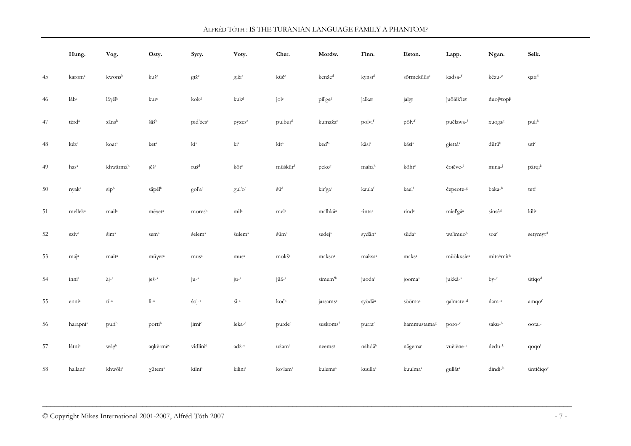|    | Hung.                                                  | Vog.                                                  | Osty.                                                               | Syry.                | Voty.                          | Cher.                                 | Mordw.               | Finn.               | Eston.              | Lapp.                 | Ngan.              | Selk.                    |
|----|--------------------------------------------------------|-------------------------------------------------------|---------------------------------------------------------------------|----------------------|--------------------------------|---------------------------------------|----------------------|---------------------|---------------------|-----------------------|--------------------|--------------------------|
| 45 | karom <sup>a</sup>                                     | kwonsb                                                | kuš <sup>c</sup>                                                    | $g_1 \check{z}^c$    | gižic                          | küč <sup>c</sup>                      | kenžed               | kynsid              | sõrmeküüse          | kadsa-f               | kêzu- <sup>c</sup> | qatid                    |
| 46 | láb <sup>a</sup>                                       | $l\bar{a}\gamma\check{e}l^b$                          | kur <sup>c</sup>                                                    | $k$ ok <sup>d</sup>  | kuk <sup>d</sup>               | jole                                  | pil'gef              | jalkas              | jalgs               | juölĕk'ieg            | <i>nuojhtopii</i>  |                          |
| 47 | térd <sup>a</sup>                                      | sānsb                                                 | $\check{\mathrm{s}}\bar{\mathrm{a}}\check{\mathrm{s}}^{\mathrm{b}}$ | pid'źes <sup>c</sup> | pyzes <sup>c</sup>             | pulbujd                               | kumažae              | $\text{poly1}^f$    | $p\ddot{o}lv^f$     | puĕlawa-f             | xuogas             | pulih                    |
| 48 | kéz <sup>a</sup>                                       | koat <sup>a</sup>                                     | ket <sup>a</sup>                                                    | $\rm{ki^a}$          | $\rm{ki}^a$                    | kit <sup>a</sup>                      | ked' <sup>a</sup>    | käsi <sup>a</sup>   | käsi <sup>a</sup>   | giettâ <sup>a</sup>   | dütüb              | uti <sup>c</sup>         |
| 49 | has <sup>a</sup>                                       | khwårmäb                                              | $j\check{e}\check{s}^c$                                             | ruš <sup>d</sup>     | köt <sup>e</sup>               | müškürf                               | pekeg                | mahah               | kõht <sup>e</sup>   | čoiĕve-               | mina-              | pärqik                   |
| 50 | nyak <sup>a</sup>                                      | $\text{sip}^{\text{b}}$                               | säpělb                                                              | gol'a <sup>c</sup>   | gul'o <sup>c</sup>             | šü <sup>d</sup>                       | kir'ga <sup>e</sup>  | kaulaf              | kaelf               | čepeote- <sup>g</sup> | baka-h             | teti                     |
| 51 | mellek <sup>a</sup>                                    | mail <sup>a</sup>                                     | $m\bar{e}\gamma$ et <sup>a</sup>                                    | mores <sup>b</sup>   | mil <sup>a</sup>               | mela                                  | mälhkä <sup>a</sup>  | rinta <sup>c</sup>  | rind <sup>c</sup>   | miel'gâ <sup>a</sup>  | sinsê <sup>d</sup> | kilie                    |
| 52 | $\ensuremath{\mathrm{szrv}}^{\ensuremath{\mathrm{a}}}$ | $\check{\text{sim}}^a$                                | sem <sup>a</sup>                                                    | śelem <sup>a</sup>   | śulem <sup>a</sup>             | $\check{\textrm{sum}}{}^{\textrm{a}}$ | sedej <sup>a</sup>   | sydän <sup>a</sup>  | süda <sup>a</sup>   | wa'imuob              | soa <sup>c</sup>   | setymyt <sup>d</sup>     |
| 53 | mája                                                   | mait <sup>a</sup>                                     | $m\bar{u}$ γet <sup>a</sup>                                         | mus <sup>a</sup>     | mus <sup>a</sup>               | mokš <sup>a</sup>                     | makso <sup>a</sup>   | $maksa^a$           | maks <sup>a</sup>   | müökxsie <sup>a</sup> | mitabmitb          |                          |
| 54 | inni <sup>a</sup>                                      | $\ddot{a}$ j <sup>-a</sup>                            | $ješ-a$                                                             | $ju^{-a}$            | $ju^{-a}$                      | jüä- <sup>a</sup>                     | simem <sup>'b</sup>  | juoda <sup>a</sup>  | jooma <sup>a</sup>  | jukkâ- <sup>a</sup>   | $by-c$             | ütiqo <sup>d</sup>       |
| 55 | enni <sup>a</sup>                                      | $\mathfrak{t}\bar{\mathfrak{1}}\text{-}^{\mathrm{a}}$ | $\rm{Li^{-3}}$                                                      | $60j^{-a}$           | $\widetilde{\textrm{S1}}^{-a}$ | $\rm ko\acute{c}^b$                   | jarsams <sup>c</sup> | syödä <sup>a</sup>  | sööma <sup>a</sup>  | nalmate-d             | nam-e              | amqof                    |
| 56 | harapni <sup>a</sup>                                   | purib                                                 | portib                                                              | jirnic               | leka- <sup>d</sup>             | purde <sup>e</sup>                    | suskomsf             | purra <sup>e</sup>  | hammustamag         | $\text{poro-}^e$      | saku-h             | ootal-i                  |
| 57 | látni <sup>a</sup>                                     | $w\bar{a}\gamma^b$                                    | ankěrmě <sup>c</sup>                                                | vidlini <sup>d</sup> | adž- <sup>e</sup>              | užamf                                 | neemsg               | nähdäh              | nägemai             | vuĕiĕne-              | ńedu- <sup>k</sup> | $q$ o $q$ o <sup>1</sup> |
| 58 | hallani <sup>a</sup>                                   | khwōli <sup>a</sup>                                   | $\chi$ ūtem <sup>a</sup>                                            | kilni <sup>a</sup>   | kilinia                        | ko·lam <sup>a</sup>                   | kulems <sup>a</sup>  | kuulla <sup>a</sup> | kuulma <sup>a</sup> | gullât <sup>a</sup>   | dindi-b            | üntičiqo <sup>c</sup>    |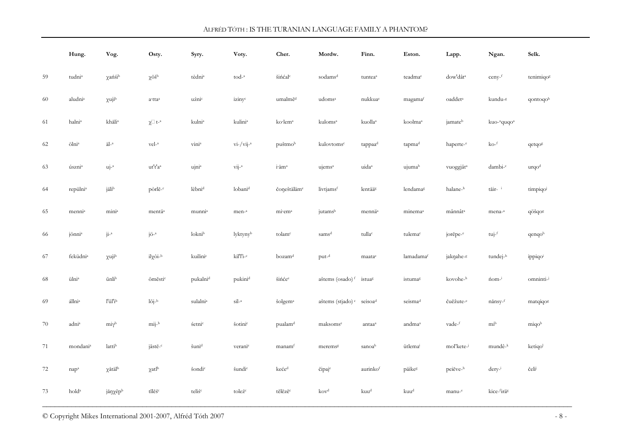|    | Hung.                | Vog.                    | Osty.                              | Syry.                | Voty.                                  | Cher.                                         | Mordw.                       | Finn.               | Eston.              | Lapp.                 | Ngan.                               | Selk.                                                  |
|----|----------------------|-------------------------|------------------------------------|----------------------|----------------------------------------|-----------------------------------------------|------------------------------|---------------------|---------------------|-----------------------|-------------------------------------|--------------------------------------------------------|
| 59 | tudni <sup>a</sup>   | χańśib                  | $\chi$ ōšb                         | tèdni <sup>a</sup>   | tod- <sup>a</sup>                      | šińćal <sup>c</sup>                           | sodams <sup>d</sup>          | tuntea <sup>a</sup> | teadmae             | dow'dât <sup>a</sup>  | $ceny-f$                            | tenimiqos                                              |
| 60 | aludni <sup>a</sup>  | $\chi$ uji <sup>b</sup> | a·ttaª                             | uźnic                | izinyc                                 | umalmě <sup>d</sup>                           | udoms <sup>a</sup>           | nukkua <sup>e</sup> | magamaf             | oaddet <sup>a</sup>   | kundu-8                             | qontoqoh                                               |
| 61 | halni <sup>a</sup>   | khåli <sup>a</sup>      | $\chi\Box$ t- <sup>a</sup>         | kulni <sup>a</sup>   | kulini <sup>a</sup>                    | ko·lem <sup>a</sup>                           | kuloms <sup>a</sup>          | kuolla <sup>a</sup> | koolmaª             | jamateb               | kuo- <sup>a</sup> quqo <sup>a</sup> |                                                        |
| 62 | ölni <sup>a</sup>    | äl- <sup>a</sup>        | vel- <sup>a</sup>                  | vini <sup>a</sup>    | $vi$ -/vij- $a$                        | puštmob                                       | kulovtoms <sup>c</sup>       | tappaa <sup>d</sup> | tapma <sup>d</sup>  | haperte-e             | $ko-f$                              | qetqog                                                 |
| 63 | úszni <sup>a</sup>   | $uj^{-a}$               | ut't'a <sup>a</sup>                | ujnia                | $\overline{\text{v}}$ ij- <sup>a</sup> | i äm <sup>a</sup>                             | ujems <sup>a</sup>           | uida <sup>a</sup>   | ujumab              | vuoggjât <sup>a</sup> | dambi-c                             | urqo <sup>d</sup>                                      |
| 64 | repülni <sup>a</sup> | jälib                   | pòrlĕ- <sup>c</sup>                | lèbni <sup>d</sup>   | lobani <sup>d</sup>                    | čoneštäläme                                   | livtjamsf                    | lentääg             | lendamag            | halane-h              | tåir- <sup>i</sup>                  | timpiqo                                                |
| 65 | menni <sup>a</sup>   | mini <sup>a</sup>       | mentä <sup>a</sup>                 | munni <sup>a</sup>   | $men-a$                                | mi em <sup>a</sup>                            | jutamsb                      | mennä <sup>a</sup>  | minema <sup>a</sup> | mânnât <sup>a</sup>   | mena- <sup>a</sup>                  | qöšqog                                                 |
| 66 | jönni <sup>a</sup>   | $j1^{-a}$               | $j\ddot{\mathrm{o}}$ <sup>-a</sup> | loknib               | lyktynyb                               | tolam <sup>c</sup>                            | sams <sup>d</sup>            | tullac              | tulema <sup>c</sup> | jorĕpe- <sup>e</sup>  | $tuj-f$                             | qenqoh                                                 |
| 67 | feküdni <sup>a</sup> | χujib                   | $il\chi\grave{o}i^{-b}$            | kuilini <sup>c</sup> | $kil'I'1-c$                            | bozam <sup>d</sup>                            | $put^{-d}$                   | maatae              | lamadamaf           | jakŋahe- <sup>g</sup> | tundej- <sup>h</sup>                | ippiqoi                                                |
| 68 | ülni <sup>a</sup>    | ūnlib                   | ōměsti <sup>c</sup>                | pukalni <sup>d</sup> | pukini <sup>d</sup>                    | šińće <sup>e</sup>                            | aštems (osado) <sup>f</sup>  | istuag              | istumag             | kovohe-h              | n <sub>1</sub>                      | omninti-                                               |
| 69 | állni <sup>a</sup>   | l'ūl'ib                 | $15j^{-b}$                         | sulalni <sup>a</sup> | $\sin^{-a}$                            | šolgem <sup>a</sup>                           | aštems (stjado) <sup>e</sup> | seisoa <sup>d</sup> | seisma <sup>d</sup> | čuĕžute-e             | nånsy- <sup>f</sup>                 | matqiqo <sup>g</sup>                                   |
| 70 | adni <sup>a</sup>    | $mi\gamma^b$            | $mij-b$                            | śetnic               | šotinic                                | pualam <sup>d</sup>                           | maksoms <sup>e</sup>         | antaa <sup>a</sup>  | andma <sup>a</sup>  | vade-f                | $mi^b$                              | miqob                                                  |
| 71 | mondani <sup>a</sup> | lattib                  | $i\bar{a}$ stě- $c$                | šuni <sup>d</sup>    | veranie                                | manam <sup>t</sup>                            | meremsg                      | sanoah              | ütlemai             | mol'kete-j            | mundê- <sup>k</sup>                 | ketiqol                                                |
| 72 | $nap^a$              | $\chi$ åtäl $^{\rm b}$  | $\chi$ atl <sup>b</sup>            | šondi <sup>c</sup>   | šundi <sup>c</sup>                     | $\mbox{ke\acute{e}e}^{\mbox{\scriptsize{d}}}$ | čipaje                       | aurinkof            | päikeg              | peiĕve- <sup>h</sup>  | $d$ ery <sup>_i</sup>               | $\check{c}\mathrm{el}i^{\scriptscriptstyle\mathsf{j}}$ |
| 73 | hold <sup>a</sup>    | jåŋχēpb                 | tīlĕś <sup>c</sup>                 | teliś <sup>c</sup>   | toleźc                                 | tělězěc                                       | kov <sup>d</sup>             | kuu <sup>d</sup>    | kuu <sup>d</sup>    | manu- <sup>e</sup>    | kice-firäs                          |                                                        |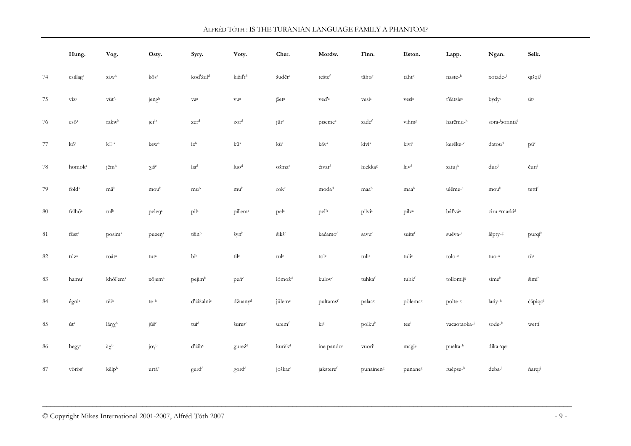|        | Hung.                               | Vog.                                   | Osty.                | Syry.                                         | Voty.                   | Cher.                                                 | Mordw.                  | Finn.                 | Eston.            | Lapp.                 | Ngan.                                  | Selk.                          |
|--------|-------------------------------------|----------------------------------------|----------------------|-----------------------------------------------|-------------------------|-------------------------------------------------------|-------------------------|-----------------------|-------------------|-----------------------|----------------------------------------|--------------------------------|
| 74     | csillaga                            | $\ensuremath{\mathrm{\mathbf{s}}}$ awb | $k\bar{o}s^c$        | kod'źul <sup>d</sup>                          | $k$ ižil'i $\rm d$      | šuděre                                                | teštef                  | tähtis                | tähts             | naste-h               | xotade-i                               | qišqä                          |
| 75     | $\rm v\acute{\rm z}z^a$             | $\rm{v}\ddot{\rm u} \rm{t}^{\prime}$   | jengb                | ${\rm v}a^{\rm a}$                            | $\rm \textsc{vu}^a$     | $\beta {\rm e}t^{\rm a}$                              | ved' <sup>a</sup>       | vesia                 | vesi <sup>a</sup> | t'šätsie <sup>c</sup> | bydy <sup>a</sup>                      | $\ddot{\rm u} {\rm t}^{\rm a}$ |
| 76     | $\mbox{es}\H{\rm o}^{\rm a}$        | rakw <sup>b</sup>                      | jer' <sup>c</sup>    | zer <sup>d</sup>                              | zor <sup>d</sup>        | jür <sup>c</sup>                                      | piseme <sup>e</sup>     | sadef                 | vihm <sup>g</sup> | harĕmu-h              | $\rm sora$ -<br>$\rm sornnt\ddot{a}^i$ |                                |
| 77     | $k \tilde{O}^a$                     | $\mathbf{k}$ $\Box$ $^{\rm a}$         | kew <sup>a</sup>     | $iz^b$                                        | $k\ddot{u}^a$           | kü <sup>a</sup>                                       | käv <sup>a</sup>        | kivi <sup>a</sup>     | kivi <sup>a</sup> | kerĕke-c              | datoud                                 | püe                            |
| 78     | homok <sup>a</sup>                  | jēmb                                   | $\chi i \check{s}^c$ | $\rm{I}i a^d$                                 | luo <sup>d</sup>        | ošmae                                                 | čivar                   | hiekkas               | liiv <sup>d</sup> | satujh                | duoi                                   | čuri                           |
| 79     | $\rm f\ddot{o}l\rm d^a$             | māb                                    | moub                 | mub                                           | mub                     | $\operatorname{rok}^{\operatorname{c}}$               | moda <sup>d</sup>       | maab                  | maab              | ulĕme- <sup>e</sup>   | moub                                   | tettif                         |
| $80\,$ | felhő <sup>a</sup>                  | $\rm{tul}^b$                           | pelen <sup>a</sup>   | $pi^{l^a}$                                    | pil'em <sup>a</sup>     | pela                                                  | pel' <sup>a</sup>       | pilvia                | pilv <sup>a</sup> | bâl'vâ <sup>a</sup>   | ciru- <sup>c</sup> marki <sup>d</sup>  |                                |
| 81     | füst <sup>a</sup>                   | posim <sup>a</sup>                     | puzen <sup>a</sup>   | $\mathrm{t}\check{\mathrm{sin}}^{\mathrm{b}}$ | šynb                    | $\check{\rm s} {\rm i} {\rm k} \check{\rm s}^{\rm c}$ | kačamod                 | savue                 | suitsf            | suĕva- <sup>e</sup>   | lêpty- <sup>g</sup>                    | purqih                         |
| $82\,$ | $\tt t\tilde{u}z^a$                 | toåt <sup>a</sup>                      | $\rm{tut^a}$         | $\rm{bi}^b$                                   | $\rm{til^{c}}$          | $\mathbf{tul}^{\mathrm{c}}$                           | $\text{tol}^{\text{c}}$ | $\text{tuli}^c$       | $\text{tuli}^c$   | $\text{tolo-}^c$      | $tuo-a$                                | $\rm{t}\ddot{\rm{u}}^{\rm{a}}$ |
| 83     | hamu <sup>a</sup>                   | khōl'em <sup>a</sup>                   | xōjem <sup>a</sup>   | pejimb                                        | peńc                    | $l$ ómož <sup>d</sup>                                 | kulove                  | tuhkaf                | tuhkf             | tollomijs             | simeh                                  | šimih                          |
| 84     | égni <sup>a</sup>                   | tēib                                   | te-b                 | d'źižalni <sup>c</sup>                        | džuany <sup>d</sup>     | jülem <sup>e</sup>                                    | pultamsf                | palaag                | põlemag           | polte- <sup>g</sup>   | lańy-h                                 | čāpiqoi                        |
| 85     | út <sup>a</sup>                     | lå $\eta \chi^b$                       | jūš <sup>c</sup>     | $\mbox{tui}^{\mbox{\scriptsize d}}$           | šures <sup>e</sup>      | urem <sup>f</sup>                                     | $k1$ g                  | polkuh                | teei              | vacaotaoka-           | sode-k                                 | wetti                          |
| 86     | hegy <sup>a</sup>                   | $\ddot{a}\chi^b$                       | $j \sigma \gamma^b$  | d'źib <sup>c</sup>                            | gurez <sup>d</sup>      | kurĕk <sup>d</sup>                                    | ine pando <sup>e</sup>  | vuorif                | mägis             | puĕlta-h              | dika- <sup>i</sup> qe <sup>j</sup>     |                                |
| $87\,$ | $\rm v\ddot{o}\rm r\ddot{o}\rm s^a$ | kēlpb                                  | urtä <sup>c</sup>    | $\rm gerd^d$                                  | $\operatorname{gord}^d$ | joškar <sup>e</sup>                                   | jaksteref               | punainen <sup>g</sup> | punaneg           | ruĕpse-h              | deba-i                                 | narqi                          |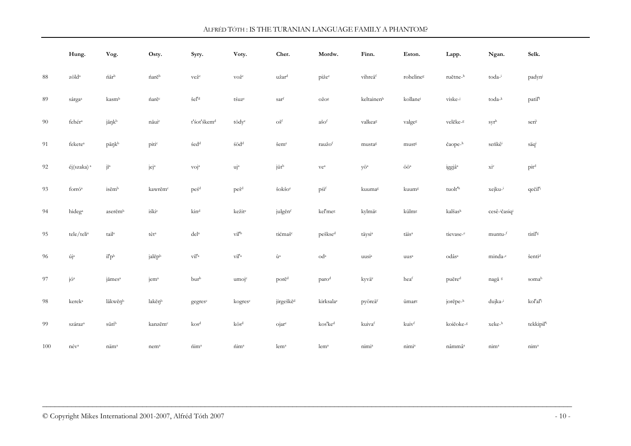|        | Hung.                                        | Vog.                                       | Osty.               | Syry.                          | Voty.                         | Cher.                                      | Mordw.                   | Finn.              | Eston.                                            | Lapp.                | Ngan.                   | Selk.                  |
|--------|----------------------------------------------|--------------------------------------------|---------------------|--------------------------------|-------------------------------|--------------------------------------------|--------------------------|--------------------|---------------------------------------------------|----------------------|-------------------------|------------------------|
| 88     | $z\ddot{o}ld^a$                              | $\hat{\mathrm{na}}\mathrm{r}^{\mathrm{b}}$ | ńarĕb               | vežc                           | vož <sup>c</sup>              | užar <sup>d</sup>                          | pižee                    | vihreäf            | rohelines                                         | ruĕtne-h             | toda-i                  | padyni                 |
| 89     | sárgaa                                       | kasmb                                      | ńarĕc               | šel' <sup>d</sup>              | tśuze                         | sarf                                       | $O\check{Z}O^g$          | keltainenh         | kollanei                                          | viske-i              | toda-k                  | patil <sup>'1</sup>    |
| $90\,$ | fehér <sup>a</sup>                           | jāŋkb                                      | nāuic               | t'śot'śkem <sup>d</sup>        | tödy <sup>e</sup>             | $\mathrm{o} \check{\mathrm{s}}^\mathrm{f}$ | $a\check{s}o^f$          | valkeas            | valges                                            | velĕke- <sup>g</sup> | $\text{syr}^{\text{h}}$ | seri                   |
| 91     | fekete <sup>a</sup>                          | pāŋkb                                      | pitic               | $\pm \rm ed^d$                 | $\pm \text{odd}^{\rm d}$      | šeme                                       | raužof                   | mustag             | must <sup>g</sup>                                 | čaope- <sup>h</sup>  | seńkê                   | säqi                   |
| 92     | éj(szaka) <sup>a</sup>                       | $j\bar{1}^a$                               | $\rm jej^a$         | $\overline{v}$ oj <sup>a</sup> | $\rm u\dot{\rm j}^a$          | jütb                                       | $\rm ve^a$               | yö <sup>a</sup>    | $\ddot{\mathrm{O}}\ddot{\mathrm{O}}^{\mathrm{a}}$ | iggjâ <sup>a</sup>   | $\rm \dot{Xi}^c$        | pit <sup>d</sup>       |
| 93     | forró <sup>a</sup>                           | isĕmb                                      | kawrĕm <sup>c</sup> | peś <sup>d</sup>               | peš <sup>d</sup>              | šokšoe                                     | $p\acute{s}i^f$          | kuumag             | kuum <sup>g</sup>                                 | tuolt <sup>'h</sup>  | xejku-i                 | qečil'i                |
| 94     | hideg <sup>a</sup>                           | aserĕmb                                    | $i\pm k\bar{i}^c$   | $\rm{kin^d}$                   | kežit <sup>e</sup>            | julgěnf                                    | kel'meg                  | kylmäg             | külm <sup>g</sup>                                 | kalšash              | cesê-ičasiqi            |                        |
| 95     | $\text{tele}/\text{teli}^{\text{a}}$         | tail <sup>a</sup>                          | $\rm t\grave{e}t^a$ | $\rm{d}el^a$                   | $\rm{vil}^{\prime b}$         | tićmaš <sup>c</sup>                        | pešksed                  | täysi <sup>a</sup> | täis <sup>a</sup>                                 | tievase-e            | muntu-f                 | tiril's                |
| 96     | $\acute{\rm u}\acute{\rm j}^{\rm a}$         | il'p <sup>b</sup>                          | jalĕpb              | $\rm{vil}^{!a}$                | $\rm{vil}^{!a}$               | $\grave{u}^a$                              | $\mathrm{od}^\mathrm{a}$ | uusi <sup>a</sup>  | uus <sup>a</sup>                                  | odâs <sup>a</sup>    | minda-c                 | šenti <sup>d</sup>     |
| 97     | $j\acute{o}^a$                               | jåmes <sup>a</sup>                         | jem <sup>a</sup>    | burb                           | umo <sub>j</sub> <sup>c</sup> | porë <sup>d</sup>                          | parod                    | kyvä <sup>e</sup>  | heaf                                              | puĕre <sup>d</sup>   | nagå s                  | somah                  |
| 98     | kerek <sup>a</sup>                           | lākwĕņb                                    | lakĕnb              | gegres <sup>c</sup>            | kogres <sup>c</sup>           | jirgeškě <sup>d</sup>                      | kirksalae                | pyöreäf            | ümar <sup>g</sup>                                 | jorĕpe- <sup>h</sup> | dujka-i                 | kol'al'i               |
| 99     | száraz <sup>a</sup>                          | $s\bar{u}ri^b$                             | kanzĕm <sup>c</sup> | kos <sup>d</sup>               | $k\ddot{o}s^d$                | ojare                                      | kos'ke <sup>d</sup>      | kuivaf             | kuivf                                             | koičoke-8            | xeke-h                  | tekkipil <sup>ti</sup> |
| 100    | $n \acute{\text{e}} \mathrm{v}^{\mathrm{a}}$ | näm <sup>a</sup>                           | nem <sup>a</sup>    | $\rm \hat{n} \rm \hat{m}^a$    | nim <sup>a</sup>              | lem <sup>a</sup>                           | lem <sup>a</sup>         | nimia              | nimia                                             | nâmmâ <sup>a</sup>   | nim <sup>a</sup>        | nim <sup>a</sup>       |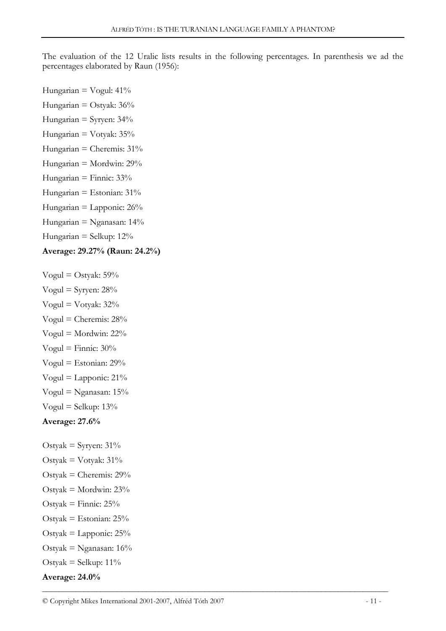The evaluation of the 12 Uralic lists results in the following percentages. In parenthesis we ad the percentages elaborated by Raun (1956):

- Hungarian =  $V$ ogul: 41% Hungarian = Ostyak:  $36\%$ Hungarian = Syryen:  $34\%$ Hungarian = Votyak: 35% Hungarian = Cheremis: 31% Hungarian = Mordwin: 29% Hungarian = Finnic:  $33\%$ Hungarian = Estonian:  $31\%$ Hungarian = Lapponic:  $26\%$
- Hungarian = Nganasan: 14%
- Hungarian = Selkup:  $12\%$

# Average: 29.27% (Raun: 24.2%)

- Vogul = Ostyak:  $59\%$
- Vogul = Syryen:  $28\%$
- Vogul = Votyak: 32%
- Vogul = Cheremis:  $28%$ Vogul = Mordwin:  $22\%$
- Vogul = Finnic:  $30\%$
- Vogul = Estonian:  $29\%$
- Vogul = Lapponic:  $21\%$
- Vogul = Nganasan:  $15%$
- Vogul = Selkup:  $13\%$
- Average: 27.6%
- Ostyak = Syryen:  $31\%$
- Ostyak = Votyak:  $31\%$
- Ostyak = Cheremis:  $29%$
- Ostyak = Mordwin:  $23%$
- Ostyak = Finnic:  $25%$
- Ostyak = Estonian:  $25%$
- Ostyak = Lapponic:  $25\%$
- Ostyak = Nganasan:  $16\%$
- Ostyak = Selkup:  $11\%$

# Average: 24.0%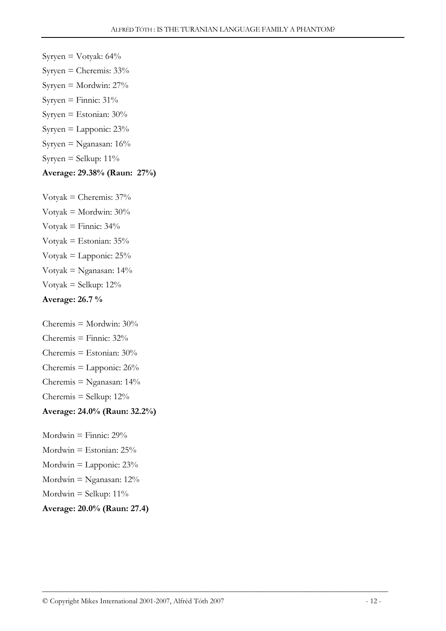- Syryen = Votyak:  $64\%$
- Syryen = Cheremis:  $33\%$
- Syryen = Mordwin:  $27%$
- Syryen = Finnic:  $31\%$
- Syryen = Estonian:  $30\%$
- Syryen = Lapponic:  $23%$
- Syryen = Nganasan: 16%
- Syryen = Selkup:  $11\%$

# Average: 29.38% (Raun: 27%)

Votyak = Cheremis:  $37%$ Votyak = Mordwin: 30% Votyak = Finnic:  $34\%$ Votyak = Estonian:  $35%$ Votyak = Lapponic:  $25%$ Votyak = Nganasan:  $14\%$ Votyak = Selkup:  $12\%$ Average: 26.7 %

Cheremis = Mordwin:  $30\%$ Cheremis = Finnic:  $32\%$ Cheremis = Estonian:  $30\%$ Cheremis  $=$  Lapponic: 26% Cheremis = Nganasan:  $14\%$ Cheremis = Selkup:  $12\%$ Average: 24.0% (Raun: 32.2%)

Mordwin = Finnic:  $29\%$ Mordwin = Estonian:  $25\%$ Mordwin  $=$  Lapponic:  $23\%$ Mordwin = Nganasan:  $12\%$ Mordwin = Selkup:  $11\%$ Average: 20.0% (Raun: 27.4)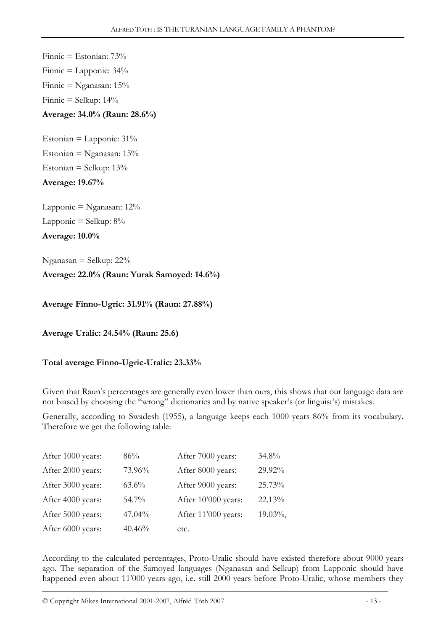Finnic = Estonian: 73% Finnic  $=$  Lapponic:  $34\%$ Finnic = Nganasan: 15% Finnic  $=$  Selkup: 14% Average: 34.0% (Raun: 28.6%) Estonian = Lapponic:  $31\%$ Estonian = Nganasan:  $15%$ Estonian = Selkup:  $13\%$ Average: 19.67% Lapponic  $=$  Nganasan:  $12\%$ Lapponic  $=$  Selkup:  $8\%$ Average: 10.0% Nganasan = Selkup: 22% Average: 22.0% (Raun: Yurak Samoyed: 14.6%) Average Finno-Ugric: 31.91% (Raun: 27.88%)

Average Uralic: 24.54% (Raun: 25.6)

Total average Finno-Ugric-Uralic: 23.33%

Given that Raun's percentages are generally even lower than ours, this shows that our language data are not biased by choosing the "wrong" dictionaries and by native speaker's (or linguist's) mistakes.

Generally, according to Swadesh (1955), a language keeps each 1000 years 86% from its vocabulary. Therefore we get the following table:

| After 1000 years: | 86%      | After 7000 years:   | 34.8%   |
|-------------------|----------|---------------------|---------|
| After 2000 years: | 73.96%   | After 8000 years:   | 29.92%  |
| After 3000 years: | $63.6\%$ | After 9000 years:   | 25.73%  |
| After 4000 years: | 54.7%    | After 10'000 years: | 22.13%  |
| After 5000 years: | 47.04%   | After 11'000 years: | 19.03%, |
| After 6000 years: | 40.46%   | etc.                |         |

According to the calculated percentages, Proto-Uralic should have existed therefore about 9000 years ago. The separation of the Samoyed languages (Nganasan and Selkup) from Lapponic should have happened even about 11'000 years ago, i.e. still 2000 years before Proto-Uralic, whose members they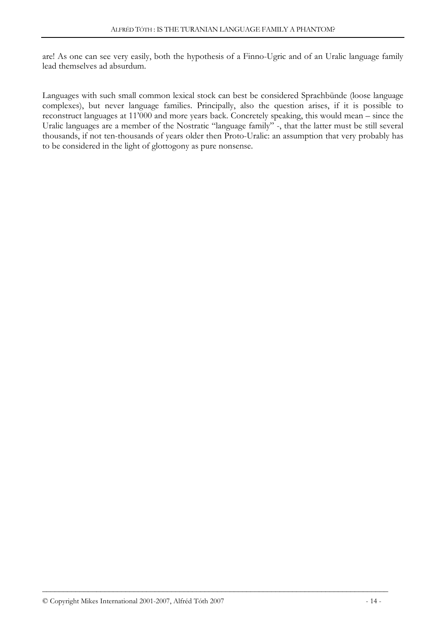are! As one can see very easily, both the hypothesis of a Finno-Ugric and of an Uralic language family lead themselves ad absurdum.

Languages with such small common lexical stock can best be considered Sprachbünde (loose language complexes), but never language families. Principally, also the question arises, if it is possible to reconstruct languages at 11'000 and more years back. Concretely speaking, this would mean – since the Uralic languages are a member of the Nostratic "language family" -, that the latter must be still several thousands, if not ten-thousands of years older then Proto-Uralic: an assumption that very probably has to be considered in the light of glottogony as pure nonsense.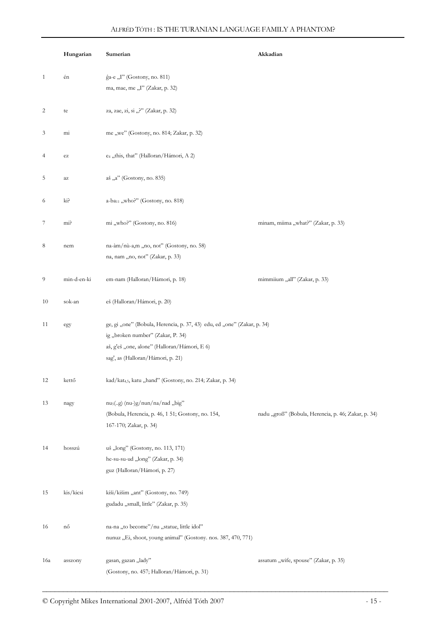| ĝa-e "I" (Gostony, no. 811)<br>én<br>1<br>ma, mae, me "I" (Zakar, p. 32)<br>za, zae, zi, si "?" (Zakar, p. 32)<br>2<br>te<br>me "we" (Gostony, no. 814; Zakar, p. 32)<br>3<br>mi<br>e <sub>4</sub> "this, that" (Halloran/Hámori, A 2)<br>4<br>$\operatorname{e}\nolimits$<br>5<br>aš "a" (Gostony, no. 835)<br>az<br>a-ba <sub>11</sub> , who?" (Gostony, no. 818)<br>ki?<br>6<br>mi "who?" (Gostony, no. 816)<br>minam, miima "what?" (Zakar, p. 33)<br>7<br>mi?<br>na-àm/nù-a,m "no, not" (Gostony, no. 58)<br>8<br>nem<br>na, nam "no, not" (Zakar, p. 33)<br>min-d-en-ki<br>9<br>em-nam (Halloran/Hámori, p. 18)<br>mimmiium "all" (Zakar, p. 33)<br>eš (Halloran/Hámori, p. 20)<br>10<br>sok-an<br>ge, gi "one" (Bobula, Herencia, p. 37, 43) edu, ed "one" (Zakar, p. 34)<br>11<br>egy<br>ig "broken number" (Zakar, P. 34)<br>aš, g'eš "one, alone" (Halloran/Hámori, E 6)<br>sag', as (Halloran/Hámori, p. 21)<br>kad/kat4,5, katu "hand" (Gostony, no. 214; Zakar, p. 34)<br>12<br>kettő<br>nu <sub>5</sub> (g) (nu-)g/nun/na/nad "big"<br>13<br>nagy<br>(Bobula, Herencia, p. 46, 1 51; Gostony, no. 154,<br>nadu "groß" (Bobula, Herencia, p. 46; Zakar, p. 34)<br>167-170; Zakar, p. 34)<br>hosszú<br>uš "long" (Gostony, no. 113, 171)<br>14<br>he-su-su-ud "long" (Zakar, p. 34)<br>guz (Halloran/Hámori, p. 27)<br>kis/kicsi<br>kiši/kišim "ant" (Gostony, no. 749)<br>15<br>gudadu "small, little" (Zakar, p. 35)<br>na-na "to become"/nu "statue, little idol"<br>16<br>nő<br>nunuz "Ei, shoot, young animal" (Gostony. nos. 387, 470, 771)<br>gasan, gazan "lady"<br>assatum "wife, spouse" (Zakar, p. 35)<br>16a<br>asszony<br>(Gostony, no. 457; Halloran/Hámori, p. 31) | Hungarian | Sumerian | Akkadian |
|-----------------------------------------------------------------------------------------------------------------------------------------------------------------------------------------------------------------------------------------------------------------------------------------------------------------------------------------------------------------------------------------------------------------------------------------------------------------------------------------------------------------------------------------------------------------------------------------------------------------------------------------------------------------------------------------------------------------------------------------------------------------------------------------------------------------------------------------------------------------------------------------------------------------------------------------------------------------------------------------------------------------------------------------------------------------------------------------------------------------------------------------------------------------------------------------------------------------------------------------------------------------------------------------------------------------------------------------------------------------------------------------------------------------------------------------------------------------------------------------------------------------------------------------------------------------------------------------------------------------------------------------------------------------------------------------------|-----------|----------|----------|
|                                                                                                                                                                                                                                                                                                                                                                                                                                                                                                                                                                                                                                                                                                                                                                                                                                                                                                                                                                                                                                                                                                                                                                                                                                                                                                                                                                                                                                                                                                                                                                                                                                                                                               |           |          |          |
|                                                                                                                                                                                                                                                                                                                                                                                                                                                                                                                                                                                                                                                                                                                                                                                                                                                                                                                                                                                                                                                                                                                                                                                                                                                                                                                                                                                                                                                                                                                                                                                                                                                                                               |           |          |          |
|                                                                                                                                                                                                                                                                                                                                                                                                                                                                                                                                                                                                                                                                                                                                                                                                                                                                                                                                                                                                                                                                                                                                                                                                                                                                                                                                                                                                                                                                                                                                                                                                                                                                                               |           |          |          |
|                                                                                                                                                                                                                                                                                                                                                                                                                                                                                                                                                                                                                                                                                                                                                                                                                                                                                                                                                                                                                                                                                                                                                                                                                                                                                                                                                                                                                                                                                                                                                                                                                                                                                               |           |          |          |
|                                                                                                                                                                                                                                                                                                                                                                                                                                                                                                                                                                                                                                                                                                                                                                                                                                                                                                                                                                                                                                                                                                                                                                                                                                                                                                                                                                                                                                                                                                                                                                                                                                                                                               |           |          |          |
|                                                                                                                                                                                                                                                                                                                                                                                                                                                                                                                                                                                                                                                                                                                                                                                                                                                                                                                                                                                                                                                                                                                                                                                                                                                                                                                                                                                                                                                                                                                                                                                                                                                                                               |           |          |          |
|                                                                                                                                                                                                                                                                                                                                                                                                                                                                                                                                                                                                                                                                                                                                                                                                                                                                                                                                                                                                                                                                                                                                                                                                                                                                                                                                                                                                                                                                                                                                                                                                                                                                                               |           |          |          |
|                                                                                                                                                                                                                                                                                                                                                                                                                                                                                                                                                                                                                                                                                                                                                                                                                                                                                                                                                                                                                                                                                                                                                                                                                                                                                                                                                                                                                                                                                                                                                                                                                                                                                               |           |          |          |
|                                                                                                                                                                                                                                                                                                                                                                                                                                                                                                                                                                                                                                                                                                                                                                                                                                                                                                                                                                                                                                                                                                                                                                                                                                                                                                                                                                                                                                                                                                                                                                                                                                                                                               |           |          |          |
|                                                                                                                                                                                                                                                                                                                                                                                                                                                                                                                                                                                                                                                                                                                                                                                                                                                                                                                                                                                                                                                                                                                                                                                                                                                                                                                                                                                                                                                                                                                                                                                                                                                                                               |           |          |          |
|                                                                                                                                                                                                                                                                                                                                                                                                                                                                                                                                                                                                                                                                                                                                                                                                                                                                                                                                                                                                                                                                                                                                                                                                                                                                                                                                                                                                                                                                                                                                                                                                                                                                                               |           |          |          |
|                                                                                                                                                                                                                                                                                                                                                                                                                                                                                                                                                                                                                                                                                                                                                                                                                                                                                                                                                                                                                                                                                                                                                                                                                                                                                                                                                                                                                                                                                                                                                                                                                                                                                               |           |          |          |
|                                                                                                                                                                                                                                                                                                                                                                                                                                                                                                                                                                                                                                                                                                                                                                                                                                                                                                                                                                                                                                                                                                                                                                                                                                                                                                                                                                                                                                                                                                                                                                                                                                                                                               |           |          |          |
|                                                                                                                                                                                                                                                                                                                                                                                                                                                                                                                                                                                                                                                                                                                                                                                                                                                                                                                                                                                                                                                                                                                                                                                                                                                                                                                                                                                                                                                                                                                                                                                                                                                                                               |           |          |          |
|                                                                                                                                                                                                                                                                                                                                                                                                                                                                                                                                                                                                                                                                                                                                                                                                                                                                                                                                                                                                                                                                                                                                                                                                                                                                                                                                                                                                                                                                                                                                                                                                                                                                                               |           |          |          |
|                                                                                                                                                                                                                                                                                                                                                                                                                                                                                                                                                                                                                                                                                                                                                                                                                                                                                                                                                                                                                                                                                                                                                                                                                                                                                                                                                                                                                                                                                                                                                                                                                                                                                               |           |          |          |
|                                                                                                                                                                                                                                                                                                                                                                                                                                                                                                                                                                                                                                                                                                                                                                                                                                                                                                                                                                                                                                                                                                                                                                                                                                                                                                                                                                                                                                                                                                                                                                                                                                                                                               |           |          |          |
|                                                                                                                                                                                                                                                                                                                                                                                                                                                                                                                                                                                                                                                                                                                                                                                                                                                                                                                                                                                                                                                                                                                                                                                                                                                                                                                                                                                                                                                                                                                                                                                                                                                                                               |           |          |          |
|                                                                                                                                                                                                                                                                                                                                                                                                                                                                                                                                                                                                                                                                                                                                                                                                                                                                                                                                                                                                                                                                                                                                                                                                                                                                                                                                                                                                                                                                                                                                                                                                                                                                                               |           |          |          |
|                                                                                                                                                                                                                                                                                                                                                                                                                                                                                                                                                                                                                                                                                                                                                                                                                                                                                                                                                                                                                                                                                                                                                                                                                                                                                                                                                                                                                                                                                                                                                                                                                                                                                               |           |          |          |
|                                                                                                                                                                                                                                                                                                                                                                                                                                                                                                                                                                                                                                                                                                                                                                                                                                                                                                                                                                                                                                                                                                                                                                                                                                                                                                                                                                                                                                                                                                                                                                                                                                                                                               |           |          |          |
|                                                                                                                                                                                                                                                                                                                                                                                                                                                                                                                                                                                                                                                                                                                                                                                                                                                                                                                                                                                                                                                                                                                                                                                                                                                                                                                                                                                                                                                                                                                                                                                                                                                                                               |           |          |          |
|                                                                                                                                                                                                                                                                                                                                                                                                                                                                                                                                                                                                                                                                                                                                                                                                                                                                                                                                                                                                                                                                                                                                                                                                                                                                                                                                                                                                                                                                                                                                                                                                                                                                                               |           |          |          |
|                                                                                                                                                                                                                                                                                                                                                                                                                                                                                                                                                                                                                                                                                                                                                                                                                                                                                                                                                                                                                                                                                                                                                                                                                                                                                                                                                                                                                                                                                                                                                                                                                                                                                               |           |          |          |
|                                                                                                                                                                                                                                                                                                                                                                                                                                                                                                                                                                                                                                                                                                                                                                                                                                                                                                                                                                                                                                                                                                                                                                                                                                                                                                                                                                                                                                                                                                                                                                                                                                                                                               |           |          |          |
|                                                                                                                                                                                                                                                                                                                                                                                                                                                                                                                                                                                                                                                                                                                                                                                                                                                                                                                                                                                                                                                                                                                                                                                                                                                                                                                                                                                                                                                                                                                                                                                                                                                                                               |           |          |          |
|                                                                                                                                                                                                                                                                                                                                                                                                                                                                                                                                                                                                                                                                                                                                                                                                                                                                                                                                                                                                                                                                                                                                                                                                                                                                                                                                                                                                                                                                                                                                                                                                                                                                                               |           |          |          |
|                                                                                                                                                                                                                                                                                                                                                                                                                                                                                                                                                                                                                                                                                                                                                                                                                                                                                                                                                                                                                                                                                                                                                                                                                                                                                                                                                                                                                                                                                                                                                                                                                                                                                               |           |          |          |
|                                                                                                                                                                                                                                                                                                                                                                                                                                                                                                                                                                                                                                                                                                                                                                                                                                                                                                                                                                                                                                                                                                                                                                                                                                                                                                                                                                                                                                                                                                                                                                                                                                                                                               |           |          |          |
|                                                                                                                                                                                                                                                                                                                                                                                                                                                                                                                                                                                                                                                                                                                                                                                                                                                                                                                                                                                                                                                                                                                                                                                                                                                                                                                                                                                                                                                                                                                                                                                                                                                                                               |           |          |          |
|                                                                                                                                                                                                                                                                                                                                                                                                                                                                                                                                                                                                                                                                                                                                                                                                                                                                                                                                                                                                                                                                                                                                                                                                                                                                                                                                                                                                                                                                                                                                                                                                                                                                                               |           |          |          |
|                                                                                                                                                                                                                                                                                                                                                                                                                                                                                                                                                                                                                                                                                                                                                                                                                                                                                                                                                                                                                                                                                                                                                                                                                                                                                                                                                                                                                                                                                                                                                                                                                                                                                               |           |          |          |
|                                                                                                                                                                                                                                                                                                                                                                                                                                                                                                                                                                                                                                                                                                                                                                                                                                                                                                                                                                                                                                                                                                                                                                                                                                                                                                                                                                                                                                                                                                                                                                                                                                                                                               |           |          |          |
|                                                                                                                                                                                                                                                                                                                                                                                                                                                                                                                                                                                                                                                                                                                                                                                                                                                                                                                                                                                                                                                                                                                                                                                                                                                                                                                                                                                                                                                                                                                                                                                                                                                                                               |           |          |          |
|                                                                                                                                                                                                                                                                                                                                                                                                                                                                                                                                                                                                                                                                                                                                                                                                                                                                                                                                                                                                                                                                                                                                                                                                                                                                                                                                                                                                                                                                                                                                                                                                                                                                                               |           |          |          |
|                                                                                                                                                                                                                                                                                                                                                                                                                                                                                                                                                                                                                                                                                                                                                                                                                                                                                                                                                                                                                                                                                                                                                                                                                                                                                                                                                                                                                                                                                                                                                                                                                                                                                               |           |          |          |
|                                                                                                                                                                                                                                                                                                                                                                                                                                                                                                                                                                                                                                                                                                                                                                                                                                                                                                                                                                                                                                                                                                                                                                                                                                                                                                                                                                                                                                                                                                                                                                                                                                                                                               |           |          |          |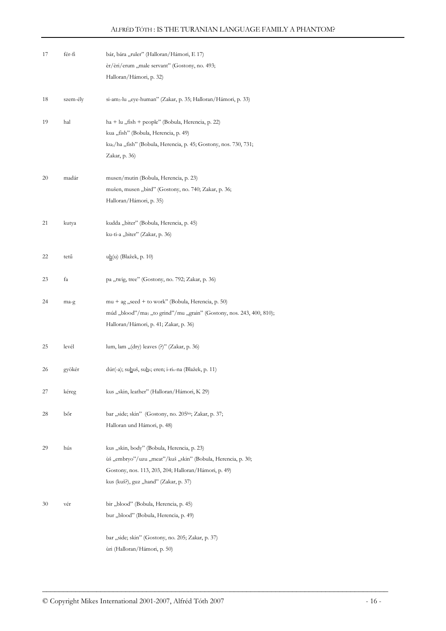| 17 | fér-fi   | bár, bára "ruler" (Halloran/Hámori, E 17)<br>er/eri/erum "male servant" (Gostony, no. 493;<br>Halloran/Hámori, p. 32)                                                                                      |
|----|----------|------------------------------------------------------------------------------------------------------------------------------------------------------------------------------------------------------------|
| 18 | szem-ély | si-am <sub>3</sub> -lu "eye-human" (Zakar, p. 35; Halloran/Hámori, p. 33)                                                                                                                                  |
| 19 | hal      | $ha + lu$ , fish + people" (Bobula, Herencia, p. 22)<br>kua "fish" (Bobula, Herencia, p. 49)<br>ku <sub>6</sub> /ha "fish" (Bobula, Herencia, p. 45; Gostony, nos. 730, 731;<br>Zakar, p. 36)              |
| 20 | madár    | musen/mutin (Bobula, Herencia, p. 23)<br>mušen, musen "bird" (Gostony, no. 740; Zakar, p. 36;<br>Halloran/Hámori, p. 35)                                                                                   |
| 21 | kutya    | kudda "biter" (Bobula, Herencia, p. 45)<br>ku-ti-a "biter" (Zakar, p. 36)                                                                                                                                  |
| 22 | tetű     | uh(u) (Blažek, p. 10)                                                                                                                                                                                      |
| 23 | fa       | pa "twig, tree" (Gostony, no. 792; Zakar, p. 36)                                                                                                                                                           |
| 24 | ma-g     | mu + ag "seed + to work" (Bobula, Herencia, p. 50)<br>múd "blood"/ma <sub>5</sub> "to grind"/mu "grain" (Gostony, nos. 243, 400, 810);<br>Halloran/Hámori, p. 41; Zakar, p. 36)                            |
| 25 | levél    | lum, lam " $(\text{dry})$ leaves $(\text{?})$ " (Zakar, p. 36)                                                                                                                                             |
| 26 | gyökér   | $d$ úr(-a); suhuš, suh <sub>6</sub> ; eren; i-ri <sub>x</sub> -na (Blažek, p. 11)                                                                                                                          |
| 27 | kéreg    | kus "skin, leather" (Halloran/Hámori, K 29)                                                                                                                                                                |
| 28 | bőr      | bar "side; skin" (Gostony, no. 205bis; Zakar, p. 37;<br>Halloran und Hámori, p. 48)                                                                                                                        |
| 29 | hús      | kus "skin, body" (Bobula, Herencia, p. 23)<br>ùš "embryo"/uzu "meat"/kuš "skin" (Bobula, Herencia, p. 30;<br>Gostony, nos. 113, 203, 204; Halloran/Hámori, p. 49)<br>kus (kuš?), guz "hand" (Zakar, p. 37) |
| 30 | vér      | bir "blood" (Bobula, Herencia, p. 45)<br>bur "blood" (Bobula, Herencia, p. 49)<br>bar "side; skin" (Gostony, no. 205; Zakar, p. 37)<br>ùri (Halloran/Hámori, p. 50)                                        |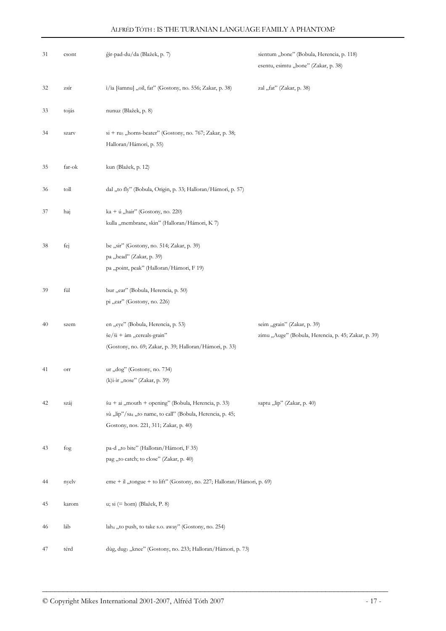| 31 | csont  | ĝìr-pad-du/da (Blažek, p. 7)                                                                                                                              | sientum "bone" (Bobula, Herencia, p. 118)<br>esentu, esimtu "bone" (Zakar, p. 38)  |
|----|--------|-----------------------------------------------------------------------------------------------------------------------------------------------------------|------------------------------------------------------------------------------------|
| 32 | zsír   | i/ia [šamnu] "oil, fat" (Gostony, no. 556; Zakar, p. 38)                                                                                                  | zal "fat" (Zakar, p. 38)                                                           |
| 33 | tojás  | nunuz (Blažek, p. 8)                                                                                                                                      |                                                                                    |
| 34 | szarv  | si + ru <sub>5</sub> , horns-beater" (Gostony, no. 767; Zakar, p. 38;<br>Halloran/Hámori, p. 55)                                                          |                                                                                    |
| 35 | far-ok | kun (Blažek, p. 12)                                                                                                                                       |                                                                                    |
| 36 | toll   | dal "to fly" (Bobula, Origin, p. 33; Halloran/Hámori, p. 57)                                                                                              |                                                                                    |
| 37 | haj    | ka + ú "hair" (Gostony, no. 220)<br>kulla "membrane, skin" (Halloran/Hámori, K 7)                                                                         |                                                                                    |
| 38 | fej    | be "sir" (Gostony, no. 514; Zakar, p. 39)<br>pa "head" (Zakar, p. 39)<br>pa "point, peak" (Halloran/Hámori, F 19)                                         |                                                                                    |
| 39 | fül    | bur "ear" (Bobula, Herencia, p. 50)<br>pi "ear" (Gostony, no. 226)                                                                                        |                                                                                    |
| 40 | szem   | en "eye" (Bobula, Herencia, p. 53)<br>$\text{se}/\text{Si} + \text{àm}$ , cereals-grain"<br>(Gostony, no. 69; Zakar, p. 39; Halloran/Hámori, p. 33)       | seim "grain" (Zakar, p. 39)<br>zimu "Auge" (Bobula, Herencia, p. 45; Zakar, p. 39) |
| 41 | orr    | ur "dog" (Gostony, no. 734)<br>(k)i-ir "nose" (Zakar, p. 39)                                                                                              |                                                                                    |
| 42 | száj   | šu + ai "mouth + opening" (Bobula, Herencia, p. 33)<br>sù "lip"/sa4 "to name, to call" (Bobula, Herencia, p. 45;<br>Gostony, nos. 221, 311; Zakar, p. 40) | saptu "lip" (Zakar, p. 40)                                                         |
| 43 | fog    | pa-d "to bite" (Halloran/Hámori, F 35)<br>pag "to catch; to close" (Zakar, p. 40)                                                                         |                                                                                    |
| 44 | nyelv  | eme + il "tongue + to lift" (Gostony, no. 227; Halloran/Hámori, p. 69)                                                                                    |                                                                                    |
| 45 | karom  | u; si $(=\text{horn})$ (Blažek, P. 8)                                                                                                                     |                                                                                    |
| 46 | láb    | lah <sub>4</sub> "to push, to take s.o. away" (Gostony, no. 254)                                                                                          |                                                                                    |
| 47 | térd   | dùg, dugs "knee" (Gostony, no. 233; Halloran/Hámori, p. 73)                                                                                               |                                                                                    |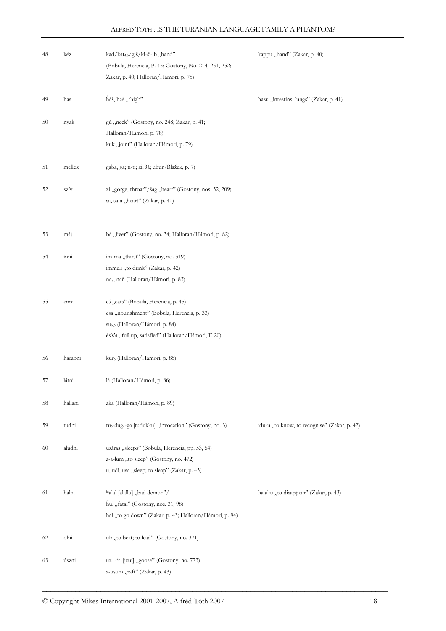| 48 | kéz     | kad/kat <sub>4,5</sub> /giš/ki-ši-ib "hand"<br>(Bobula, Herencia, P. 45; Gostony, No. 214, 251, 252;<br>Zakar, p. 40; Halloran/Hámori, p. 75)                                           | kappu "hand" (Zakar, p. 40)                  |
|----|---------|-----------------------------------------------------------------------------------------------------------------------------------------------------------------------------------------|----------------------------------------------|
| 49 | has     | háš, haš "thigh"                                                                                                                                                                        | hasu "intestins, lungs" (Zakar, p. 41)       |
| 50 | nyak    | gú "neck" (Gostony, no. 248; Zakar, p. 41;<br>Halloran/Hámori, p. 78)<br>kuk "joint" (Halloran/Hámori, p. 79)                                                                           |                                              |
| 51 | mellek  | gaba, ga; ti-ti; zi; šà; ubur (Blažek, p. 7)                                                                                                                                            |                                              |
| 52 | szív    | zi "gorge, throat"/šag "heart" (Gostony, nos. 52, 209)<br>sa, sa-a "heart" (Zakar, p. 41)                                                                                               |                                              |
| 53 | máj     | bà "liver" (Gostony, no. 34; Halloran/Hámori, p. 82)                                                                                                                                    |                                              |
| 54 | inni    | im-ma "thirst" (Gostony, no. 319)<br>immeli "to drink" (Zakar, p. 42)<br>nas, nañ (Halloran/Hámori, p. 83)                                                                              |                                              |
| 55 | enni    | eš "eats" (Bobula, Herencia, p. 45)<br>esa "nourishment" (Bobula, Herencia, p. 33)<br>su <sub>5,6</sub> (Halloran/Hámori, p. 84)<br>és's'a "full up, satisfied" (Halloran/Hámori, E 20) |                                              |
| 56 | harapni | kur <sub>5</sub> (Halloran/Hámori, p. 85)                                                                                                                                               |                                              |
| 57 | látni   | lá (Halloran/Hámori, p. 86)                                                                                                                                                             |                                              |
| 58 | hallani | aka (Halloran/Hámori, p. 89)                                                                                                                                                            |                                              |
| 59 | tudni   | tu <sub>6</sub> -dug <sub>4</sub> -ga [tudukku] "invocation" (Gostony, no. 3)                                                                                                           | idu-u "to know, to recognise" (Zakar, p. 42) |
| 60 | aludni  | usàras "sleeps" (Bobula, Herencia, pp. 53, 54)<br>a-a-lum "to sleep" (Gostony, no. 472)<br>u, udi, usa "sleep; to sleap" (Zakar, p. 43)                                                 |                                              |
| 61 | halni   | lúalal [alallu] "bad demon"/<br>hul "fatal" (Gostony, nos. 31, 98)<br>hal "to go down" (Zakar, p. 43; Halloran/Hámori, p. 94)                                                           | halaku "to disappear" (Zakar, p. 43)         |
| 62 | ölni    | ul7,,to beat; to lead" (Gostony, no. 371)                                                                                                                                               |                                              |
| 63 | úszni   | uz <sup>mušen</sup> [uzu] "goose" (Gostony, no. 773)<br>a-usum "raft" (Zakar, p. 43)                                                                                                    |                                              |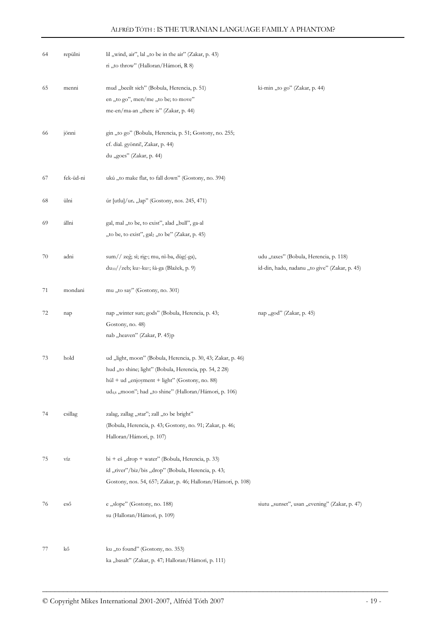| 64 | repülni   | lil "wind, air", lal "to be in the air" (Zakar, p. 43)<br>ri "to throw" (Halloran/Hámori, R 8)                                                                                                                                                 |                                                                                         |
|----|-----------|------------------------------------------------------------------------------------------------------------------------------------------------------------------------------------------------------------------------------------------------|-----------------------------------------------------------------------------------------|
| 65 | menni     | mud "beeilt sich" (Bobula, Herencia, p. 51)<br>en "to go", men/me "to be; to move"<br>me-en/ma-an "there is" (Zakar, p. 44)                                                                                                                    | ki-min "to go" (Zakar, p. 44)                                                           |
| 66 | jönni     | gin "to go" (Bobula, Herencia, p. 51; Gostony, no. 255;<br>cf. dial. gyönni!, Zakar, p. 44)<br>du "goes" (Zakar, p. 44)                                                                                                                        |                                                                                         |
| 67 | fek-üd-ni | ukú "to make flat, to fall down" (Gostony, no. 394)                                                                                                                                                                                            |                                                                                         |
| 68 | ülni      | úr [utlu]/ur <sub>x</sub> "lap" (Gostony, nos. 245, 471)                                                                                                                                                                                       |                                                                                         |
| 69 | állni     | gal, mal "to be, to exist", alad "bull", ga-al<br>"to be, to exist", gal <sub>2</sub> "to be" (Zakar, p. 45)                                                                                                                                   |                                                                                         |
| 70 | adni      | sum// zeĝ; sì; rig7; mu, nì-ba, dùg(-ga),<br>du <sub>10</sub> //zeb; ku7-ku7; šà-ga (Blažek, p. 9)                                                                                                                                             | udu "taxes" (Bobula, Herencia, p. 118)<br>id-din, hadu, nadanu "to give" (Zakar, p. 45) |
| 71 | mondani   | mu "to say" (Gostony, no. 301)                                                                                                                                                                                                                 |                                                                                         |
| 72 | nap       | nap "winter sun; gods" (Bobula, Herencia, p. 43;<br>Gostony, no. 48)<br>nab "heaven" (Zakar, P. 45)p                                                                                                                                           | nap "god" (Zakar, p. 45)                                                                |
| 73 | hold      | ud "light, moon" (Bobula, Herencia, p. 30, 43; Zakar, p. 46)<br>hud "to shine; light" (Bobula, Herencia, pp. 54, 2 28)<br>húl + ud "enjoyment + light" (Gostony, no. 88)<br>ud <sub>4,8</sub> "moon"; had "to shine" (Halloran/Hámori, p. 106) |                                                                                         |
| 74 | csillag   | zalag, zallag "star"; zall "to be bright"<br>(Bobula, Herencia, p. 43; Gostony, no. 91; Zakar, p. 46;<br>Halloran/Hámori, p. 107)                                                                                                              |                                                                                         |
| 75 | víz       | $bi + eš$ , drop + water" (Bobula, Herencia, p. 33)<br>id "river"/biz/bis "drop" (Bobula, Herencia, p. 43;<br>Gostony, nos. 54, 657; Zakar, p. 46; Halloran/Hámori, p. 108)                                                                    |                                                                                         |
| 76 | eső       | e "slope" (Gostony, no. 188)<br>su (Halloran/Hámori, p. 109)                                                                                                                                                                                   | siutu "sunset", usan "evening" (Zakar, p. 47)                                           |
| 77 | kő        | ku "to found" (Gostony, no. 353)<br>ka "basalt" (Zakar, p. 47; Halloran/Hámori, p. 111)                                                                                                                                                        |                                                                                         |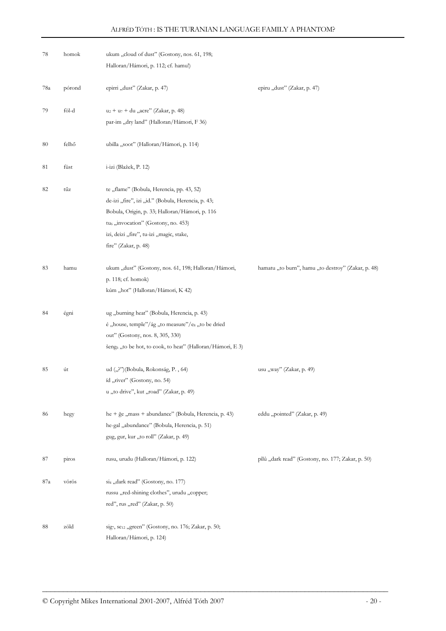| 78  | homok  | ukum "cloud of dust" (Gostony, nos. 61, 198;<br>Halloran/Hámori, p. 112; cf. hamu!)                                                                                                                                                                                      |                                                    |
|-----|--------|--------------------------------------------------------------------------------------------------------------------------------------------------------------------------------------------------------------------------------------------------------------------------|----------------------------------------------------|
| 78a | pórond | epirri "dust" (Zakar, p. 47)                                                                                                                                                                                                                                             | epiru "dust" (Zakar, p. 47)                        |
| 79  | föl-d  | $u_2 + u_7 + du$ , acre" (Zakar, p. 48)<br>par-im "dry land" (Halloran/Hámori, F 36)                                                                                                                                                                                     |                                                    |
| 80  | felhő  | ubilla "soot" (Halloran/Hámori, p. 114)                                                                                                                                                                                                                                  |                                                    |
| 81  | füst   | i-izi (Blažek, P. 12)                                                                                                                                                                                                                                                    |                                                    |
| 82  | tűz    | te "flame" (Bobula, Herencia, pp. 43, 52)<br>de-izi "fire", izi "id." (Bobula, Herencia, p. 43;<br>Bobula, Origin, p. 33; Halloran/Hámori, p. 116<br>tu <sub>6</sub> "invocation" (Gostony, no. 453)<br>izi, deizi "fire", tu-izi "magic, stake,<br>fire" (Zakar, p. 48) |                                                    |
| 83  | hamu   | ukum "dust" (Gostony, nos. 61, 198; Halloran/Hámori,<br>p. 118; cf. homok)<br>kúm "hot" (Halloran/Hámori, K 42)                                                                                                                                                          | hamatu "to burn", hamu "to destroy" (Zakar, p. 48) |
| 84  | égni   | ug "burning heat" (Bobula, Herencia, p. 43)<br>é "house, temple"/ág "to measure"/es "to be dried<br>out" (Gostony, nos. 8, 305, 330)<br>šeng <sub>6</sub> "to be hot, to cook, to heat" (Halloran/Hámori, E 3)                                                           |                                                    |
| 85  | út     | ud ("?")(Bobula, Rokonság, P., 64)<br>íd "river" (Gostony, no. 54)<br>u "to drive", kut "road" (Zakar, p. 49)                                                                                                                                                            | usu "way" (Zakar, p. 49)                           |
| 86  | hegy   | he + ğe "mass + abundance" (Bobula, Herencia, p. 43)<br>he-gal "abundance" (Bobula, Herencia, p. 51)<br>gug, gur, kur "to roll" (Zakar, p. 49)                                                                                                                           | eddu "pointed" (Zakar, p. 49)                      |
| 87  | piros  | rusu, urudu (Halloran/Hámori, p. 122)                                                                                                                                                                                                                                    | pîlû "dark read" (Gostony, no. 177; Zakar, p. 50)  |
| 87a | vörös  | si4, ,dark read" (Gostony, no. 177)<br>russu "red-shining clothes", urudu "copper;<br>red", rus "red" (Zakar, p. 50)                                                                                                                                                     |                                                    |
| 88  | zöld   | sig7, se12 "green" (Gostony, no. 176; Zakar, p. 50;<br>Halloran/Hámori, p. 124)                                                                                                                                                                                          |                                                    |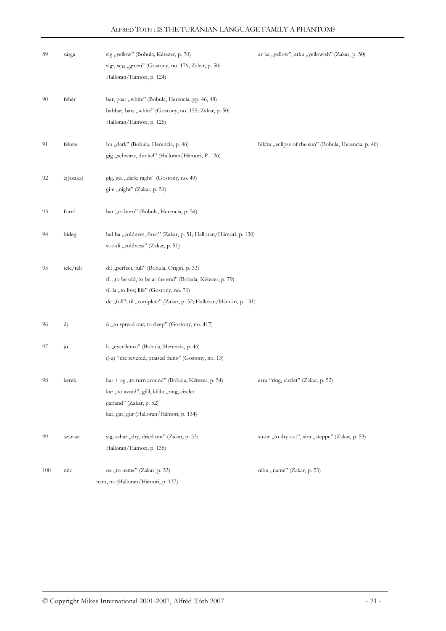| 89  | sárga     | sig "yellow" (Bobula, Kétezer, p. 70)<br>sig7, se <sub>12</sub> "green" (Gostony, no. 176; Zakar, p. 50;<br>Halloran/Hámori, p. 124)                                                                                       | ar-ka "yellow", arku "yellowish" (Zakar, p. 50)       |
|-----|-----------|----------------------------------------------------------------------------------------------------------------------------------------------------------------------------------------------------------------------------|-------------------------------------------------------|
| 90  | fehér     | bar, paar "white" (Bobula, Herencia, pp. 46, 48)<br>babbar, bar <sub>6</sub> "white" (Gostony, no. 155; Zakar, p. 50;<br>Halloran/Hámori, p. 125)                                                                          |                                                       |
| 91  | fekete    | bu "dark" (Bobula, Herencia, p. 46)<br>gig "schwarz, dunkel" (Halloran/Hámon, P. 126)                                                                                                                                      | bikîtu "eclipse of the sun" (Bobula, Herencia, p. 46) |
| 92  | éj(szaka) | gíg, ge <sub>6</sub> "dark; night" (Gostony, no. 49)<br>gi-e "night" (Zakar, p. 51)                                                                                                                                        |                                                       |
| 93  | forró     | bar "to burn" (Bobula, Herencia, p. 54)                                                                                                                                                                                    |                                                       |
| 94  | hideg     | hal-ba "coldness, frost" (Zakar, p. 51; Halloran/Hámori, p. 130)<br>si-e-di "coldness" (Zakar, p. 51)                                                                                                                      |                                                       |
| 95  | tele/teli | dil "perfect, full" (Bobula, Origin, p. 33)<br>til "to be old, to be at the end" (Bobula, Kétezer, p. 79)<br>tíl-la "to live; life" (Gostony, no. 71)<br>de "full"; til "complete" (Zakar, p. 52; Halloran/Hámori, p. 131) |                                                       |
| 96  | új        | ù "to spread out; to sleep" (Gostony, no. 417)                                                                                                                                                                             |                                                       |
| 97  | jó        | la "excellence" (Bobula, Herencia, p. 46)<br>i(-a) "the revered, praised thing" (Gostony, no. 13)                                                                                                                          |                                                       |
| 98  | kerek     | kar + ag "to turn around" (Bobula, Kétezer, p. 54)<br>kar "to avoid", gilil, kililu "ring, circlet<br>garland" (Zakar, p. 52)<br>kar, gar, gur (Halloran/Hámori, p. 134)                                                   | erru "ring, circlet" (Zakar, p. 52)                   |
| 99  | szár-az   | sig, sahar "dry, dried out" (Zakar, p. 53;<br>Halloran/Hámori, p. 135)                                                                                                                                                     | su-ur "to dry out", siru "steppe" (Zakar, p. 53)      |
| 100 | név       | na "to name" (Zakar, p. 53)<br>nam, na (Halloran/Hámori, p. 137)                                                                                                                                                           | nibu "name" (Zakar, p. 53)                            |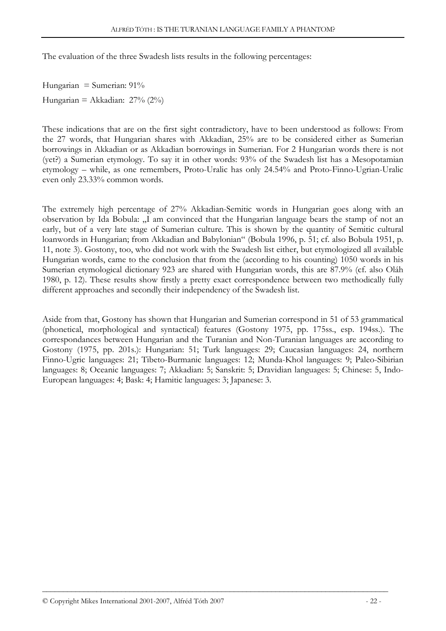The evaluation of the three Swadesh lists results in the following percentages:

Hungarian = Sumerian:  $91\%$ Hungarian = Akkadian:  $27\%$  (2%)

These indications that are on the first sight contradictory, have to been understood as follows: From the 27 words, that Hungarian shares with Akkadian, 25% are to be considered either as Sumerian borrowings in Akkadian or as Akkadian borrowings in Sumerian. For 2 Hungarian words there is not (yet?) a Sumerian etymology. To say it in other words: 93% of the Swadesh list has a Mesopotamian etymology – while, as one remembers, Proto-Uralic has only 24.54% and Proto-Finno-Ugrian-Uralic even only 23.33% common words.

The extremely high percentage of 27% Akkadian-Semitic words in Hungarian goes along with an observation by Ida Bobula: "I am convinced that the Hungarian language bears the stamp of not an early, but of a very late stage of Sumerian culture. This is shown by the quantity of Semitic cultural loanwords in Hungarian; from Akkadian and Babylonian" (Bobula 1996, p. 51; cf. also Bobula 1951, p. 11, note 3). Gostony, too, who did not work with the Swadesh list either, but etymologized all available Hungarian words, came to the conclusion that from the (according to his counting) 1050 words in his Sumerian etymological dictionary 923 are shared with Hungarian words, this are 87.9% (cf. also Oláh 1980, p. 12). These results show firstly a pretty exact correspondence between two methodically fully different approaches and secondly their independency of the Swadesh list.

Aside from that, Gostony has shown that Hungarian and Sumerian correspond in 51 of 53 grammatical (phonetical, morphological and syntactical) features (Gostony 1975, pp. 175ss., esp. 194ss.). The correspondances between Hungarian and the Turanian and Non-Turanian languages are according to Gostony (1975, pp. 201s.): Hungarian: 51; Turk languages: 29; Caucasian languages: 24, northern Finno-Ugric languages: 21; Tibeto-Burmanic languages: 12; Munda-Khol languages: 9; Paleo-Sibirian languages: 8; Oceanic languages: 7; Akkadian: 5; Sanskrit: 5; Dravidian languages: 5; Chinese: 5, Indo-European languages: 4; Bask: 4; Hamitic languages: 3; Japanese: 3.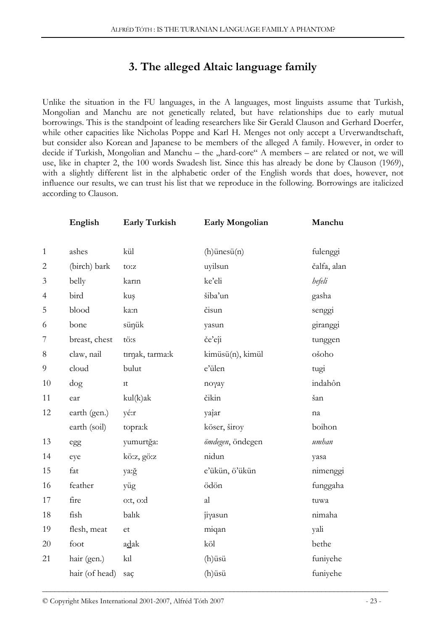# 3. The alleged Altaic language family

Unlike the situation in the FU languages, in the A languages, most linguists assume that Turkish, Mongolian and Manchu are not genetically related, but have relationships due to early mutual borrowings. This is the standpoint of leading researchers like Sir Gerald Clauson and Gerhard Doerfer, while other capacities like Nicholas Poppe and Karl H. Menges not only accept a Urverwandtschaft, but consider also Korean and Japanese to be members of the alleged A family. However, in order to decide if Turkish, Mongolian and Manchu – the "hard-core" A members – are related or not, we will use, like in chapter 2, the 100 words Swadesh list. Since this has already be done by Clauson (1969), with a slightly different list in the alphabetic order of the English words that does, however, not influence our results, we can trust his list that we reproduce in the following. Borrowings are italicized according to Clauson.

|                | English        | <b>Early Turkish</b> | Early Mongolian   | Manchu      |
|----------------|----------------|----------------------|-------------------|-------------|
| $\mathbf{1}$   | ashes          | kül                  | $(h)$ ünesü $(n)$ | fulenggi    |
| $\overline{2}$ | (birch) bark   | to:z                 | uyilsun           | čalfa, alan |
| $\mathfrak{Z}$ | belly          | karın                | ke'eli            | hefeli      |
| 4              | bird           | kuş                  | šiba'un           | gasha       |
| 5              | blood          | ka:n                 | čisun             | senggi      |
| 6              | bone           | sünük                | yasun             | giranggi    |
| 7              | breast, chest  | tö:s                 | če'eji            | tunggen     |
| $8\,$          | claw, nail     | tırnak, tarma:k      | kimüsü(n), kimül  | ošoho       |
| 9              | cloud          | bulut                | e'ülen            | tugi        |
| 10             | $\log$         | 1 <sup>t</sup>       | noγay             | indahôn     |
| 11             | ear            | kul(k)ak             | čikin             | šan         |
| 12             | earth (gen.)   | yé:r                 | yaĵar             | na          |
|                | earth (soil)   | topra:k              | köser, široy      | boihon      |
| 13             | egg            | yumurtğa:            | ömdegen, öndegen  | umhan       |
| 14             | eye            | kö:z, gö:z           | nidun             | yasa        |
| 15             | fat            | ya:ğ                 | e'ükün, ö'ükün    | nimenggi    |
| 16             | feather        | yüg                  | ödön              | funggaha    |
| 17             | fire           | o:t, o:d             | al                | tuwa        |
| 18             | fish           | balık                | ĵiγasun           | nimaha      |
| 19             | flesh, meat    | et                   | miqan             | yali        |
| 20             | foot           | adak                 | köl               | bethe       |
| 21             | hair (gen.)    | k1                   | (h)üsü            | funiyehe    |
|                | hair (of head) | saç                  | (h)üsü            | funiyehe    |

\_\_\_\_\_\_\_\_\_\_\_\_\_\_\_\_\_\_\_\_\_\_\_\_\_\_\_\_\_\_\_\_\_\_\_\_\_\_\_\_\_\_\_\_\_\_\_\_\_\_\_\_\_\_\_\_\_\_\_\_\_\_\_\_\_\_\_\_\_\_\_\_\_\_\_\_\_\_\_\_\_\_\_ © Copyright Mikes International 2001-2007, Alfréd Tóth 2007 - 23 -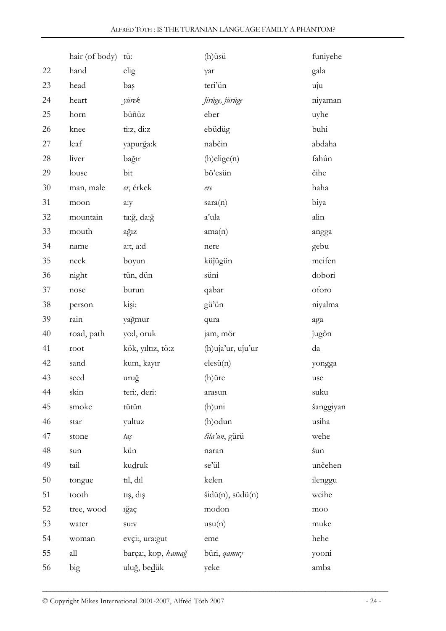|        | hair (of body) | tü:                | (h)üsü                        | funiyehe        |
|--------|----------------|--------------------|-------------------------------|-----------------|
| 22     | hand           | elig               | γar                           | gala            |
| 23     | head           | baş                | teri'ün                       | uĵu             |
| 24     | heart          | yürek              | <i>firüge, fürüge</i>         | niyaman         |
| 25     | horn           | büñüz              | eber                          | uyhe            |
| 26     | knee           | ti:z, di:z         | ebüdüg                        | buhi            |
| 27     | leaf           | yapurğa:k          | nabčin                        | abdaha          |
| 28     | liver          | bağır              | $(h)$ elige $(n)$             | fahûn           |
| 29     | louse          | bit                | bö'esün                       | čihe            |
| $30\,$ | man, male      | er, érkek          | $\operatorname{\textit{ere}}$ | haha            |
| 31     | moon           | a:y                | sara(n)                       | biya            |
| 32     | mountain       | ta:ğ, da:ğ         | a'ula                         | alin            |
| 33     | mouth          | ağız               | ama(n)                        | angga           |
| 34     | name           | a:t, a:d           | nere                          | gebu            |
| 35     | neck           | boyun              | küjügün                       | meifen          |
| 36     | night          | tün, dün           | süni                          | dobori          |
| 37     | nose           | burun              | qabar                         | oforo           |
| 38     | person         | kişi:              | gü'ün                         | niyalma         |
| 39     | rain           | yağmur             | qura                          | aga             |
| 40     | road, path     | yo:l, oruk         | jam, mör                      | ĵugôn           |
| 41     | root           | kök, yıltız, tö:z  | (h)uja'ur, uju'ur             | da              |
| 42     | sand           | kum, kayır         | elesii(n)                     | yongga          |
| 43     | seed           | uruğ               | (h)üre                        | use             |
| 44     | skin           | teri:, deri:       | arasun                        | suku            |
| 45     | smoke          | tütün              | (h)uni                        | šanggiyan       |
| 46     | star           | yultuz             | (h) odun                      | usiha           |
| 47     | stone          | taş                | čila'un, gürü                 | wehe            |
| 48     | sun            | kün                | naran                         | šun             |
| 49     | tail           | kudruk             | se'ül                         | unčehen         |
| $50\,$ | tongue         | til, dil           | kelen                         | ilenggu         |
| 51     | tooth          | tış, dış           | $\text{šidü}(n)$ , südü $(n)$ | weihe           |
| 52     | tree, wood     | iğaç               | modon                         | $_{\text{moo}}$ |
| 53     | water          | su:v               | usu(n)                        | muke            |
| 54     | woman          | evçi:, ura:gut     | eme                           | hehe            |
| 55     | all            | barça:, kop, kamağ | büri, gamuy                   | yooni           |
| 56     | big            | uluğ, bedük        | yeke                          | amba            |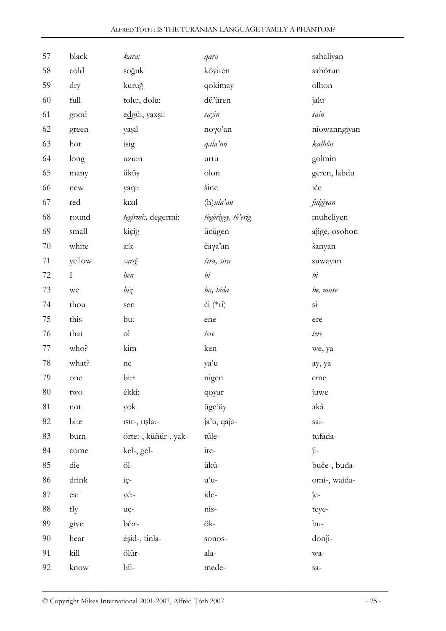| 57 | black       | kara:                | qara                | sahaliyan              |
|----|-------------|----------------------|---------------------|------------------------|
| 58 | cold        | soğuk                | köyiten             | sahôrun                |
| 59 | dry         | kuruğ                | qokimay             | olhon                  |
| 60 | full        | tolu:, dolu:         | dü'üren             | ĵalu                   |
| 61 | good        | edgü:, yaxşı:        | sayin               | sain                   |
| 62 | green       | yaşıl                | noyo'an             | niowanngiyan           |
| 63 | hot         | isig                 | qala'un             | kalhôn                 |
| 64 | long        | uzu:n                | urtu                | golmin                 |
| 65 | many        | üküş                 | olon                | geren, labdu           |
| 66 | ${\rm new}$ | yanı:                | šine                | iče                    |
| 67 | red         | kiz1                 | $(h)$ ula'an        | fulgiyan               |
| 68 | round       | tegirmi:, degermi:   | tögörigey, tö'erig  | muheliyen              |
| 69 | small       | kiçig                | ücügen              | aĵige, osohon          |
| 70 | white       | a:k                  | čaγa'an             | šanyan                 |
| 71 | yellow      | sarığ                | šira, sira          | suwayan                |
| 72 | $\mathbf I$ | ben                  | bi                  | bi                     |
| 73 | we          | $bi\chi$             | ba, bida            | be, muse               |
| 74 | thou        | sen                  | $\check{c}$ i (*ti) | $\overline{\text{si}}$ |
| 75 | this        | bu:                  | ene                 | ere                    |
| 76 | that        | ol                   | tere                | tere                   |
| 77 | who?        | kim                  | ken                 | we, ya                 |
| 78 | what?       | ne                   | ya'u                | ay, ya                 |
| 79 | one         | bi:r                 | nigen               | eme                    |
| 80 | two         | ékki:                | qoyar               | ĵuwe                   |
| 81 | not         | yok                  | üge'üy              | akâ                    |
| 82 | bite        | 1sir-, tişla:-       | ĵa'u, qaĵa-         | sai-                   |
| 83 | burn        | örte:-, küñür-, yak- | tüle-               | tufada-                |
| 84 | come        | kel-, gel-           | ire-                | $\hat{1}$ <sup>-</sup> |
| 85 | die         | öl-                  | ükü-                | buče-, buda-           |
| 86 | drink       | $i\zeta$ -           | u'u-                | omi-, waida-           |
| 87 | eat         | yé:-                 | ide-                | $\hat{1}e-$            |
| 88 | fly         | uç-                  | nis-                | teye-                  |
| 89 | give        | bé:r-                | ök-                 | bu-                    |
| 90 | hear        | éşid-, tinla-        | sonos-              | donĵi-                 |
| 91 | kill        | ölür-                | ala-                | wa-                    |
| 92 | know        | bil-                 | mede-               | sa-                    |

\_\_\_\_\_\_\_\_\_\_\_\_\_\_\_\_\_\_\_\_\_\_\_\_\_\_\_\_\_\_\_\_\_\_\_\_\_\_\_\_\_\_\_\_\_\_\_\_\_\_\_\_\_\_\_\_\_\_\_\_\_\_\_\_\_\_\_\_\_\_\_\_\_\_\_\_\_\_\_\_\_\_\_ © Copyright Mikes International 2001-2007, Alfréd Tóth 2007 - 25 -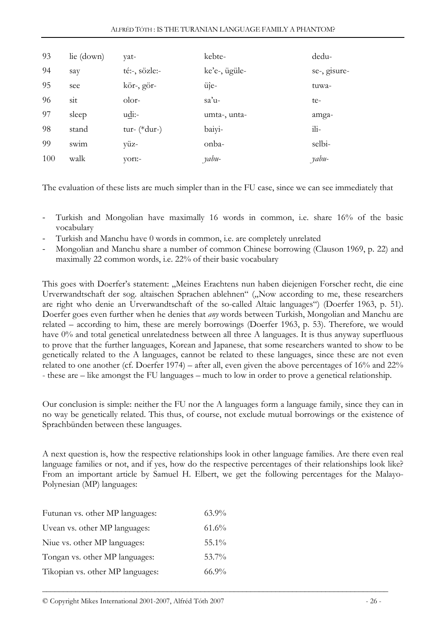| 93 | lie (down) | yat-                  | kebte-        | dedu-        |
|----|------------|-----------------------|---------------|--------------|
| 94 | say        | té:-, sözle:-         | ke'e-, ügüle- | se-, gisure- |
| 95 | see        | kör-, gör-            | üîe-          | tuwa-        |
| 96 | sit        | olor-                 | $sa'u$ -      | te-          |
| 97 | sleep      | $u \underline{di}$ :- | umta-, unta-  | amga-        |
|    |            |                       |               |              |
| 98 | stand      | tur- $(*dur-)$        | baiyi-        | $i$ li-      |
| 99 | swim       | yüz-                  | onba-         | selbi-       |

The evaluation of these lists are much simpler than in the FU case, since we can see immediately that

- Turkish and Mongolian have maximally 16 words in common, i.e. share 16% of the basic vocabulary
- Turkish and Manchu have 0 words in common, i.e. are completely unrelated
- Mongolian and Manchu share a number of common Chinese borrowing (Clauson 1969, p. 22) and maximally 22 common words, i.e. 22% of their basic vocabulary

This goes with Doerfer's statement: "Meines Erachtens nun haben diejenigen Forscher recht, die eine Urverwandtschaft der sog. altaischen Sprachen ablehnen" ("Now according to me, these researchers are right who denie an Urverwandtschaft of the so-called Altaic languages") (Doerfer 1963, p. 51). Doerfer goes even further when he denies that *any* words between Turkish, Mongolian and Manchu are related – according to him, these are merely borrowings (Doerfer 1963, p. 53). Therefore, we would have 0% and total genetical unrelatedness between all three A languages. It is thus anyway superfluous to prove that the further languages, Korean and Japanese, that some researchers wanted to show to be genetically related to the A languages, cannot be related to these languages, since these are not even related to one another (cf. Doerfer 1974) – after all, even given the above percentages of  $16\%$  and  $22\%$ - these are – like amongst the FU languages – much to low in order to prove a genetical relationship.

Our conclusion is simple: neither the FU nor the A languages form a language family, since they can in no way be genetically related. This thus, of course, not exclude mutual borrowings or the existence of Sprachbünden between these languages.

A next question is, how the respective relationships look in other language families. Are there even real language families or not, and if yes, how do the respective percentages of their relationships look like? From an important article by Samuel H. Elbert, we get the following percentages for the Malayo-Polynesian (MP) languages:

| $63.9\%$ |
|----------|
| 61.6%    |
| $55.1\%$ |
| 53.7%    |
| $66.9\%$ |
|          |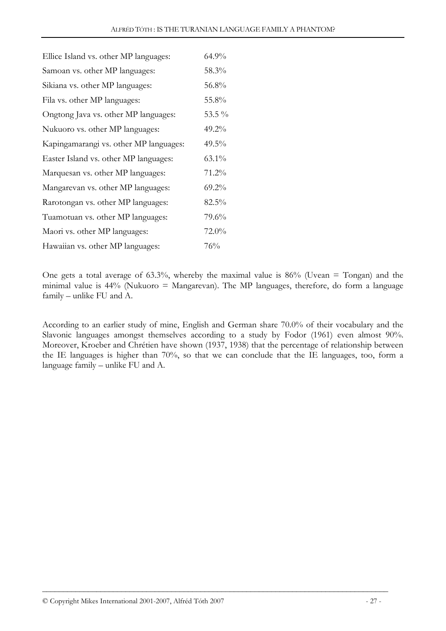| Ellice Island vs. other MP languages:  | 64.9%     |
|----------------------------------------|-----------|
| Samoan vs. other MP languages:         | 58.3%     |
| Sikiana vs. other MP languages:        | 56.8%     |
| Fila vs. other MP languages:           | 55.8%     |
| Ongtong Java vs. other MP languages:   | 53.5 $\%$ |
| Nukuoro vs. other MP languages:        | $49.2\%$  |
| Kapingamarangi vs. other MP languages: | $49.5\%$  |
| Easter Island vs. other MP languages:  | 63.1%     |
| Marquesan vs. other MP languages:      | 71.2%     |
| Mangarevan vs. other MP languages:     | $69.2\%$  |
| Rarotongan vs. other MP languages:     | 82.5%     |
| Tuamotuan vs. other MP languages:      | 79.6%     |
| Maori vs. other MP languages:          | $72.0\%$  |
| Hawaiian vs. other MP languages:       | 76%       |

One gets a total average of 63.3%, whereby the maximal value is 86% (Uvean  $=$  Tongan) and the minimal value is 44% (Nukuoro = Mangarevan). The MP languages, therefore, do form a language family – unlike FU and A.

According to an earlier study of mine, English and German share 70.0% of their vocabulary and the Slavonic languages amongst themselves according to a study by Fodor (1961) even almost 90%. Moreover, Kroeber and Chrétien have shown (1937, 1938) that the percentage of relationship between the IE languages is higher than 70%, so that we can conclude that the IE languages, too, form a language family – unlike FU and A.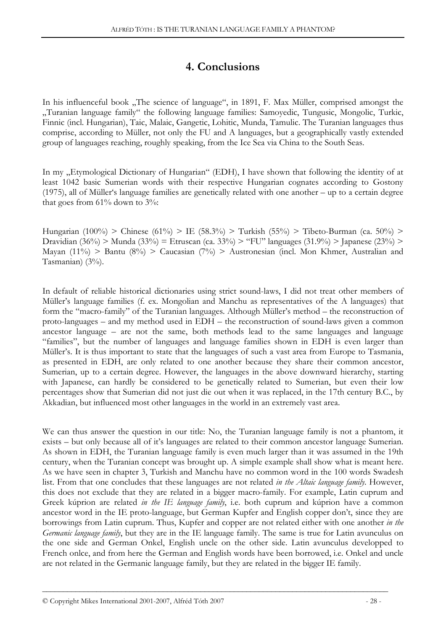# 4. Conclusions

In his influenceful book "The science of language", in 1891, F. Max Müller, comprised amongst the "Turanian language family" the following language families: Samoyedic, Tungusic, Mongolic, Turkic, Finnic (incl. Hungarian), Taic, Malaic, Gangetic, Lohitic, Munda, Tamulic. The Turanian languages thus comprise, according to Müller, not only the FU and A languages, but a geographically vastly extended group of languages reaching, roughly speaking, from the Ice Sea via China to the South Seas.

In my "Etymological Dictionary of Hungarian" (EDH), I have shown that following the identity of at least 1042 basic Sumerian words with their respective Hungarian cognates according to Gostony (1975), all of Müller's language families are genetically related with one another – up to a certain degree that goes from  $61\%$  down to  $3\%$ :

Hungarian (100%) > Chinese (61%) > IE (58.3%) > Turkish (55%) > Tibeto-Burman (ca. 50%) > Dravidian (36%) > Munda (33%) = Etruscan (ca. 33%) > "FU" languages (31.9%) > Japanese (23%) > Mayan (11%) > Bantu (8%) > Caucasian (7%) > Austronesian (incl. Mon Khmer, Australian and Tasmanian) (3%).

In default of reliable historical dictionaries using strict sound-laws, I did not treat other members of Müller's language families (f. ex. Mongolian and Manchu as representatives of the A languages) that form the "macro-family" of the Turanian languages. Although Müller's method – the reconstruction of proto-languages – and my method used in EDH – the reconstruction of sound-laws given a common ancestor language – are not the same, both methods lead to the same languages and language "families", but the number of languages and language families shown in EDH is even larger than Müller's. It is thus important to state that the languages of such a vast area from Europe to Tasmania, as presented in EDH, are only related to one another because they share their common ancestor, Sumerian, up to a certain degree. However, the languages in the above downward hierarchy, starting with Japanese, can hardly be considered to be genetically related to Sumerian, but even their low percentages show that Sumerian did not just die out when it was replaced, in the 17th century B.C., by Akkadian, but influenced most other languages in the world in an extremely vast area.

We can thus answer the question in our title: No, the Turanian language family is not a phantom, it exists – but only because all of it's languages are related to their common ancestor language Sumerian. As shown in EDH, the Turanian language family is even much larger than it was assumed in the 19th century, when the Turanian concept was brought up. A simple example shall show what is meant here. As we have seen in chapter 3, Turkish and Manchu have no common word in the 100 words Swadesh list. From that one concludes that these languages are not related in the Altaic language family. However, this does not exclude that they are related in a bigger macro-family. For example, Latin cuprum and Greek kúprion are related *in the IE language family*, i.e. both cuprum and kúprion have a common ancestor word in the IE proto-language, but German Kupfer and English copper don't, since they are borrowings from Latin cuprum. Thus, Kupfer and copper are not related either with one another in the Germanic language family, but they are in the IE language family. The same is true for Latin avunculus on the one side and German Onkel, English uncle on the other side. Latin avunculus developped to French onlce, and from here the German and English words have been borrowed, i.e. Onkel and uncle are not related in the Germanic language family, but they are related in the bigger IE family.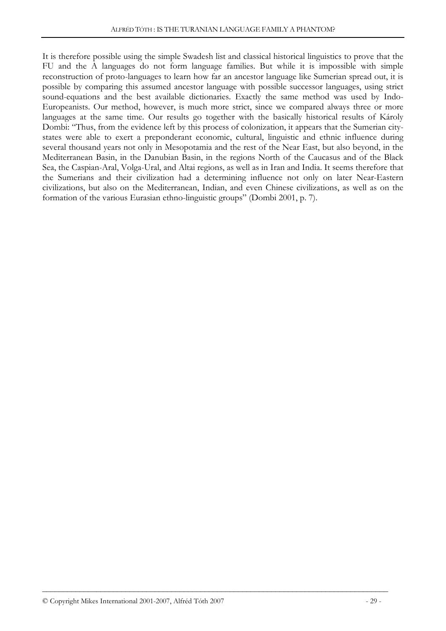It is therefore possible using the simple Swadesh list and classical historical linguistics to prove that the FU and the A languages do not form language families. But while it is impossible with simple reconstruction of proto-languages to learn how far an ancestor language like Sumerian spread out, it is possible by comparing this assumed ancestor language with possible successor languages, using strict sound-equations and the best available dictionaries. Exactly the same method was used by Indo-Europeanists. Our method, however, is much more strict, since we compared always three or more languages at the same time. Our results go together with the basically historical results of Károly Dombi: "Thus, from the evidence left by this process of colonization, it appears that the Sumerian citystates were able to exert a preponderant economic, cultural, linguistic and ethnic influence during several thousand years not only in Mesopotamia and the rest of the Near East, but also beyond, in the Mediterranean Basin, in the Danubian Basin, in the regions North of the Caucasus and of the Black Sea, the Caspian-Aral, Volga-Ural, and Altai regions, as well as in Iran and India. It seems therefore that the Sumerians and their civilization had a determining influence not only on later Near-Eastern civilizations, but also on the Mediterranean, Indian, and even Chinese civilizations, as well as on the formation of the various Eurasian ethno-linguistic groups" (Dombi 2001, p. 7).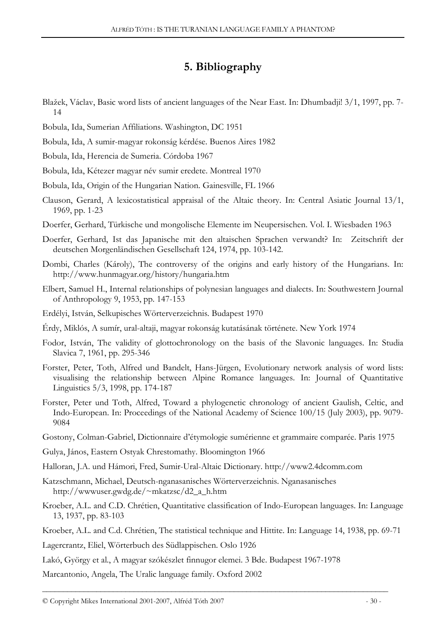# 5. Bibliography

- Blažek, Václav, Basic word lists of ancient languages of the Near East. In: Dhumbadji! 3/1, 1997, pp. 7- 14
- Bobula, Ida, Sumerian Affiliations. Washington, DC 1951
- Bobula, Ida, A sumir-magyar rokonság kérdése. Buenos Aires 1982
- Bobula, Ida, Herencia de Sumeria. Córdoba 1967

Bobula, Ida, Kétezer magyar név sumir eredete. Montreal 1970

Bobula, Ida, Origin of the Hungarian Nation. Gainesville, FL 1966

- Clauson, Gerard, A lexicostatistical appraisal of the Altaic theory. In: Central Asiatic Journal 13/1, 1969, pp. 1-23
- Doerfer, Gerhard, Türkische und mongolische Elemente im Neupersischen. Vol. I. Wiesbaden 1963
- Doerfer, Gerhard, Ist das Japanische mit den altaischen Sprachen verwandt? In: Zeitschrift der deutschen Morgenländischen Gesellschaft 124, 1974, pp. 103-142.
- Dombi, Charles (Károly), The controversy of the origins and early history of the Hungarians. In: http://www.hunmagyar.org/history/hungaria.htm
- Elbert, Samuel H., Internal relationships of polynesian languages and dialects. In: Southwestern Journal of Anthropology 9, 1953, pp. 147-153
- Erdélyi, István, Selkupisches Wörterverzeichnis. Budapest 1970
- Érdy, Miklós, A sumír, ural-altaji, magyar rokonság kutatásának története. New York 1974
- Fodor, István, The validity of glottochronology on the basis of the Slavonic languages. In: Studia Slavica 7, 1961, pp. 295-346
- Forster, Peter, Toth, Alfred und Bandelt, Hans-Jürgen, Evolutionary network analysis of word lists: visualising the relationship between Alpine Romance languages. In: Journal of Quantitative Linguistics 5/3, 1998, pp. 174-187
- Forster, Peter und Toth, Alfred, Toward a phylogenetic chronology of ancient Gaulish, Celtic, and Indo-European. In: Proceedings of the National Academy of Science 100/15 (July 2003), pp. 9079- 9084
- Gostony, Colman-Gabriel, Dictionnaire d'étymologie sumérienne et grammaire comparée. Paris 1975
- Gulya, János, Eastern Ostyak Chrestomathy. Bloomington 1966
- Halloran, J.A. und Hámori, Fred, Sumir-Ural-Altaic Dictionary. http://www2.4dcomm.com
- Katzschmann, Michael, Deutsch-nganasanisches Wörterverzeichnis. Nganasanisches http://wwwuser.gwdg.de/~mkatzsc/d2\_a\_h.htm
- Kroeber, A.L. and C.D. Chrétien, Quantitative classification of Indo-European languages. In: Language 13, 1937, pp. 83-103
- Kroeber, A.L. and C.d. Chrétien, The statistical technique and Hittite. In: Language 14, 1938, pp. 69-71

Lagercrantz, Eliel, Wörterbuch des Südlappischen. Oslo 1926

Lakó, György et al., A magyar szókészlet finnugor elemei. 3 Bde. Budapest 1967-1978

Marcantonio, Angela, The Uralic language family. Oxford 2002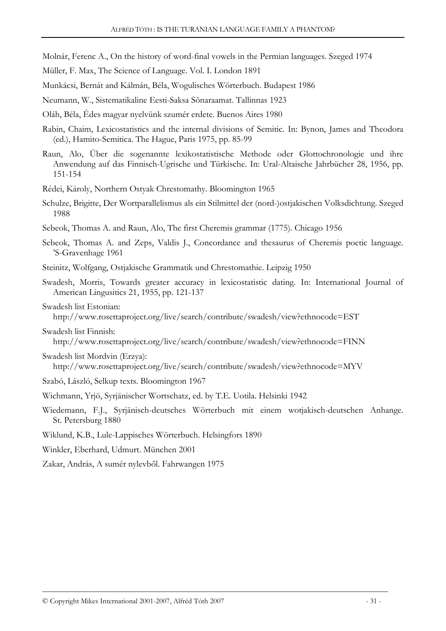- Molnár, Ferenc A., On the history of word-final vowels in the Permian languages. Szeged 1974
- Müller, F. Max, The Science of Language. Vol. I. London 1891
- Munkácsi, Bernát and Kálmán, Béla, Wogulisches Wörterbuch. Budapest 1986
- Neumann, W., Sistematikaline Eesti-Saksa Sõnaraamat. Tallinnas 1923
- Oláh, Béla, Édes magyar nyelvünk szumér erdete. Buenos Aires 1980
- Rabin, Chaim, Lexicostatistics and the internal divisions of Semitic. In: Bynon, James and Theodora (ed.), Hamito-Semitica. The Hague, Paris 1975, pp. 85-99
- Raun, Alo, Über die sogenannte lexikostatistische Methode oder Glottochronologie und ihre Anwendung auf das Finnisch-Ugrische und Türkische. In: Ural-Altaische Jahrbücher 28, 1956, pp. 151-154
- Rédei, Károly, Northern Ostyak Chrestomathy. Bloomington 1965
- Schulze, Brigitte, Der Wortparallelismus als ein Stilmittel der (nord-)ostjakischen Volksdichtung. Szeged 1988
- Sebeok, Thomas A. and Raun, Alo, The first Cheremis grammar (1775). Chicago 1956
- Sebeok, Thomas A. and Zeps, Valdis J., Concordance and thesaurus of Cheremis poetic language. 'S-Gravenhage 1961
- Steinitz, Wolfgang, Ostjakische Grammatik und Chrestomathie. Leipzig 1950
- Swadesh, Morris, Towards greater accuracy in lexicostatistic dating. In: International Journal of American Lingusitics 21, 1955, pp. 121-137
- Swadesh list Estonian:

http://www.rosettaproject.org/live/search/contribute/swadesh/view?ethnocode=EST

#### Swadesh list Finnish:

http://www.rosettaproject.org/live/search/contribute/swadesh/view?ethnocode=FINN

- Swadesh list Mordvin (Erzya):
	- http://www.rosettaproject.org/live/search/contribute/swadesh/view?ethnocode=MYV
- Szabó, László, Selkup texts. Bloomington 1967
- Wichmann, Yrjö, Syrjänischer Wortschatz, ed. by T.E. Uotila. Helsinki 1942
- Wiedemann, F.J., Syrjänisch-deutsches Wörterbuch mit einem wotjakisch-deutschen Anhange. St. Petersburg 1880
- Wiklund, K.B., Lule-Lappisches Wörterbuch. Helsingfors 1890
- Winkler, Eberhard, Udmurt. München 2001
- Zakar, András, A sumér nylevből. Fahrwangen 1975